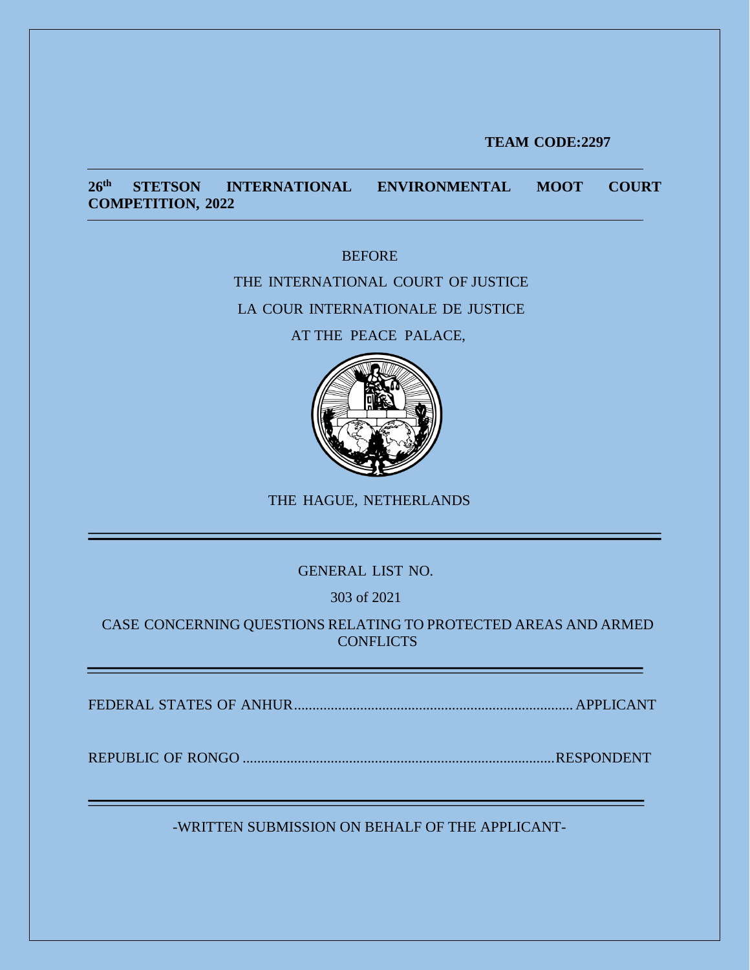### **TEAM CODE:2297**

## **26th STETSON INTERNATIONAL ENVIRONMENTAL MOOT COURT COMPETITION, 2022**

## **BEFORE**

## THE INTERNATIONAL COURT OF JUSTICE

## LA COUR INTERNATIONALE DE JUSTICE

AT THE PEACE PALACE,



THE HAGUE, NETHERLANDS

### GENERAL LIST NO.

303 of 2021

CASE CONCERNING QUESTIONS RELATING TO PROTECTED AREAS AND ARMED **CONFLICTS** 

FEDERAL STATES OF ANHUR............................................................................ APPLICANT

REPUBLIC OF RONGO .....................................................................................RESPONDENT

-WRITTEN SUBMISSION ON BEHALF OF THE APPLICANT-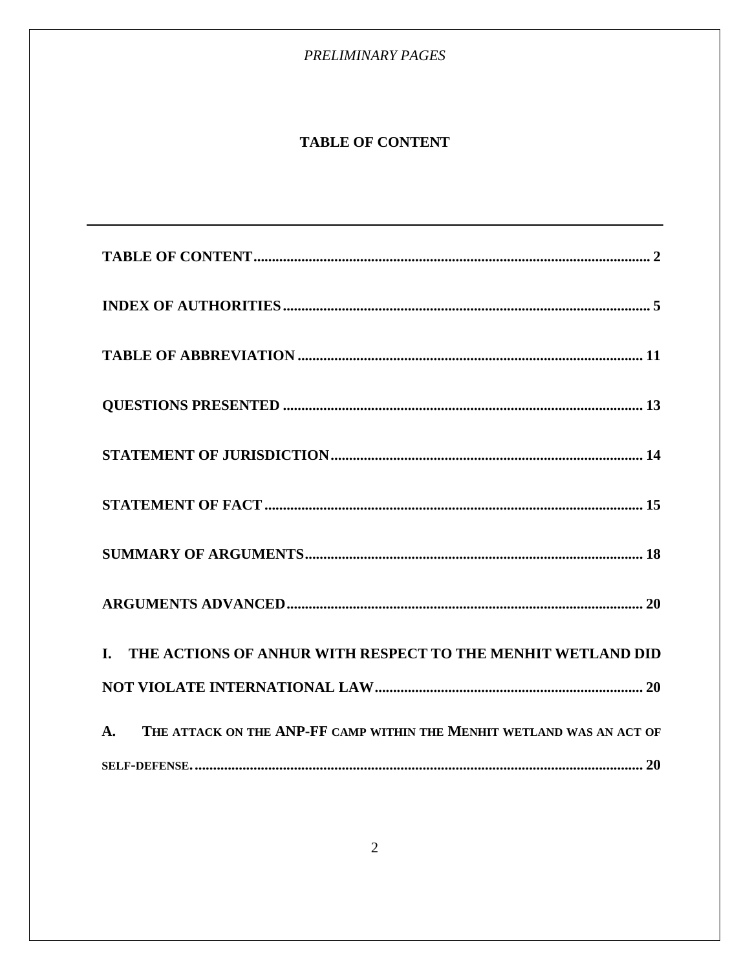# **TABLE OF CONTENT**

<span id="page-1-0"></span>

| I. THE ACTIONS OF ANHUR WITH RESPECT TO THE MENHIT WETLAND DID                          |
|-----------------------------------------------------------------------------------------|
|                                                                                         |
| THE ATTACK ON THE ANP-FF CAMP WITHIN THE MENHIT WETLAND WAS AN ACT OF<br>$\mathbf{A}$ . |
|                                                                                         |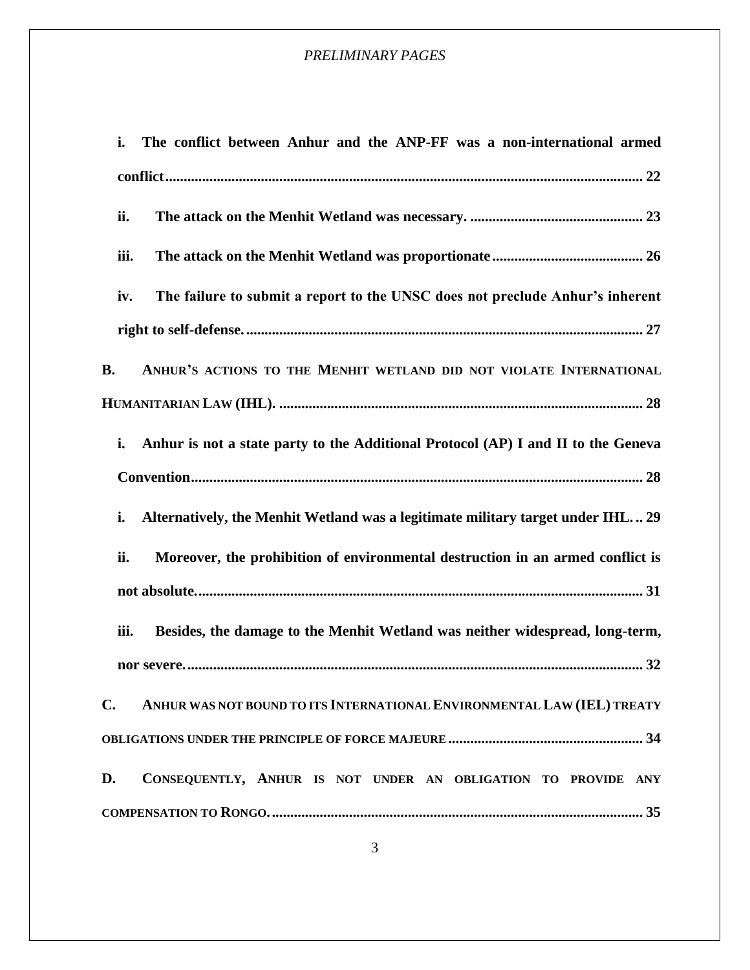| The conflict between Anhur and the ANP-FF was a non-international armed<br>i.            |
|------------------------------------------------------------------------------------------|
|                                                                                          |
| ii.                                                                                      |
| iii.                                                                                     |
| The failure to submit a report to the UNSC does not preclude Anhur's inherent<br>iv.     |
|                                                                                          |
| ANHUR'S ACTIONS TO THE MENHIT WETLAND DID NOT VIOLATE INTERNATIONAL<br>В.                |
|                                                                                          |
| Anhur is not a state party to the Additional Protocol (AP) I and II to the Geneva<br>i.  |
|                                                                                          |
| Alternatively, the Menhit Wetland was a legitimate military target under IHL 29<br>i.    |
| ii.<br>Moreover, the prohibition of environmental destruction in an armed conflict is    |
|                                                                                          |
| Besides, the damage to the Menhit Wetland was neither widespread, long-term,<br>iii.     |
|                                                                                          |
| $C_{\bullet}$<br>ANHUR WAS NOT BOUND TO ITS INTERNATIONAL ENVIRONMENTAL LAW (IEL) TREATY |
|                                                                                          |
| CONSEQUENTLY, ANHUR IS NOT UNDER AN OBLIGATION TO PROVIDE ANY<br>D.                      |
|                                                                                          |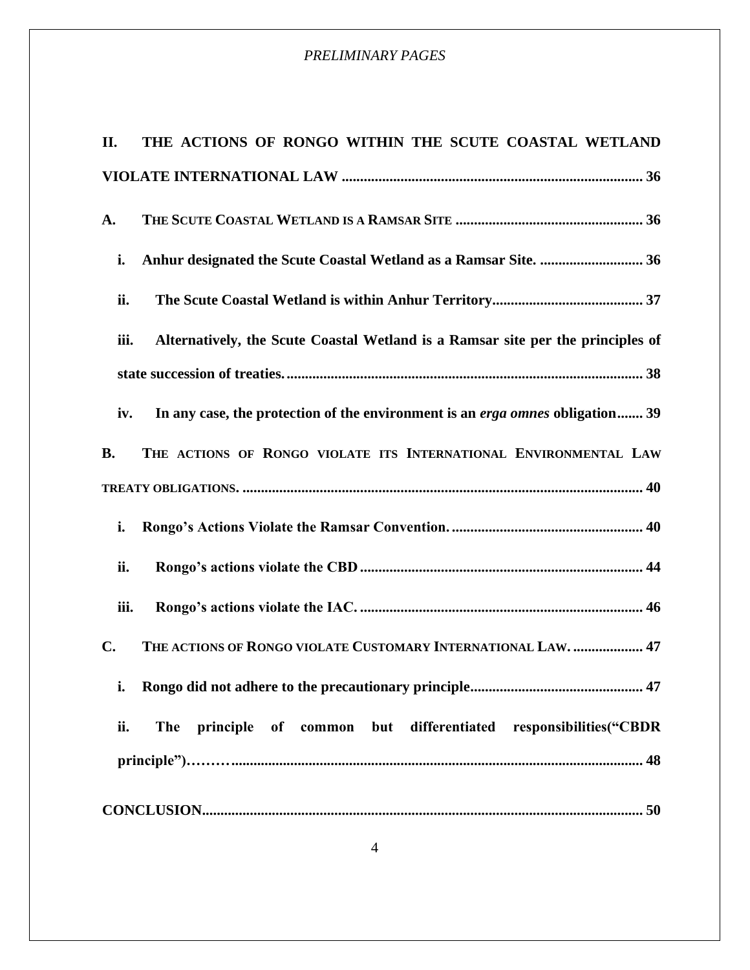| П.             | THE ACTIONS OF RONGO WITHIN THE SCUTE COASTAL WETLAND                           |
|----------------|---------------------------------------------------------------------------------|
|                |                                                                                 |
| A.             |                                                                                 |
| i.             | Anhur designated the Scute Coastal Wetland as a Ramsar Site.  36                |
| ii.            |                                                                                 |
| iii.           | Alternatively, the Scute Coastal Wetland is a Ramsar site per the principles of |
|                |                                                                                 |
| iv.            | In any case, the protection of the environment is an erga omnes obligation 39   |
| <b>B.</b>      | THE ACTIONS OF RONGO VIOLATE ITS INTERNATIONAL ENVIRONMENTAL LAW                |
|                |                                                                                 |
| i.             |                                                                                 |
| ii.            |                                                                                 |
| iii.           |                                                                                 |
| $\mathbf{C}$ . | THE ACTIONS OF RONGO VIOLATE CUSTOMARY INTERNATIONAL LAW.  47                   |
|                |                                                                                 |
| ii.            | principle of common but differentiated responsibilities ("CBDR<br><b>The</b>    |
|                |                                                                                 |
|                |                                                                                 |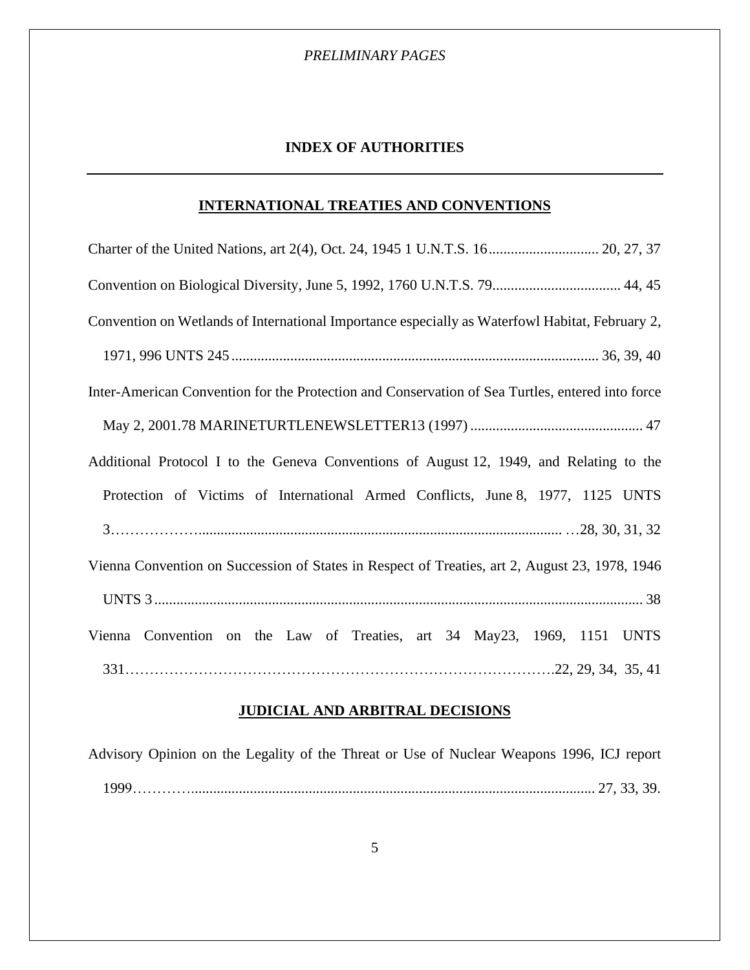## **INDEX OF AUTHORITIES**

## **INTERNATIONAL TREATIES AND CONVENTIONS**

<span id="page-4-0"></span>

| Convention on Biological Diversity, June 5, 1992, 1760 U.N.T.S. 79 44, 45                        |
|--------------------------------------------------------------------------------------------------|
| Convention on Wetlands of International Importance especially as Waterfowl Habitat, February 2,  |
|                                                                                                  |
| Inter-American Convention for the Protection and Conservation of Sea Turtles, entered into force |
|                                                                                                  |
| Additional Protocol I to the Geneva Conventions of August 12, 1949, and Relating to the          |
| Protection of Victims of International Armed Conflicts, June 8, 1977, 1125 UNTS                  |
|                                                                                                  |
| Vienna Convention on Succession of States in Respect of Treaties, art 2, August 23, 1978, 1946   |
|                                                                                                  |
| Vienna Convention on the Law of Treaties, art 34 May23, 1969, 1151 UNTS                          |
|                                                                                                  |

# **JUDICIAL AND ARBITRAL DECISIONS**

Advisory Opinion on the Legality of the Threat or Use of Nuclear Weapons 1996, ICJ report 1999………….............................................................................................................. 27, 33, 39.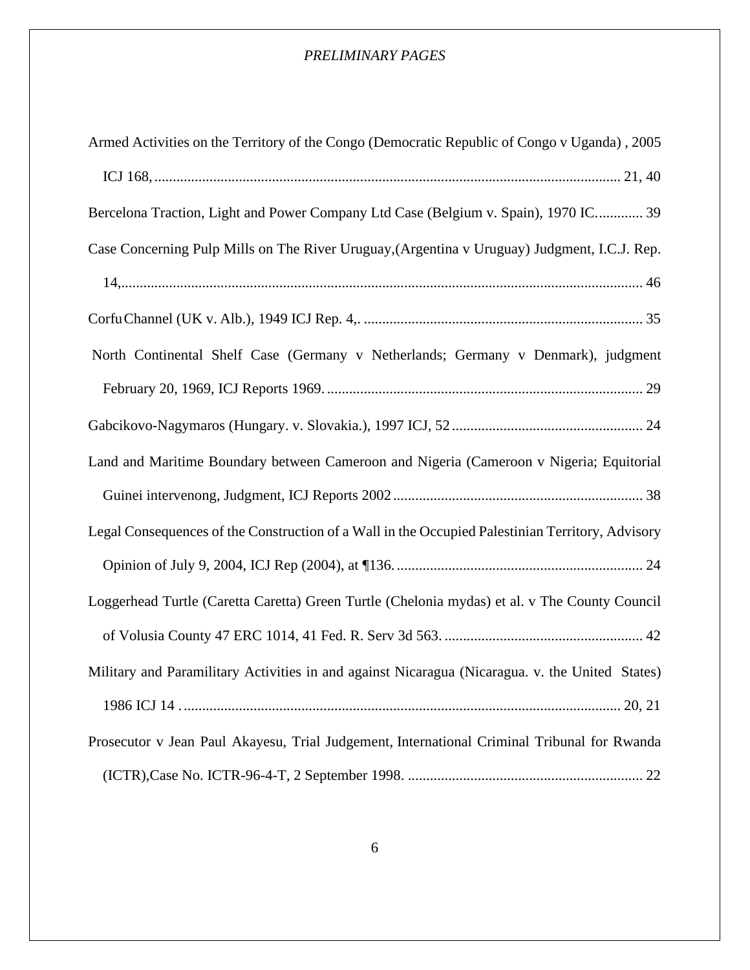| Armed Activities on the Territory of the Congo (Democratic Republic of Congo v Uganda), 2005     |
|--------------------------------------------------------------------------------------------------|
|                                                                                                  |
| Bercelona Traction, Light and Power Company Ltd Case (Belgium v. Spain), 1970 IC 39              |
| Case Concerning Pulp Mills on The River Uruguay, (Argentina v Uruguay) Judgment, I.C.J. Rep.     |
|                                                                                                  |
|                                                                                                  |
| North Continental Shelf Case (Germany v Netherlands; Germany v Denmark), judgment                |
|                                                                                                  |
|                                                                                                  |
| Land and Maritime Boundary between Cameroon and Nigeria (Cameroon v Nigeria; Equitorial          |
|                                                                                                  |
| Legal Consequences of the Construction of a Wall in the Occupied Palestinian Territory, Advisory |
|                                                                                                  |
| Loggerhead Turtle (Caretta Caretta) Green Turtle (Chelonia mydas) et al. v The County Council    |
|                                                                                                  |
| Military and Paramilitary Activities in and against Nicaragua (Nicaragua. v. the United States)  |
|                                                                                                  |
| Prosecutor v Jean Paul Akayesu, Trial Judgement, International Criminal Tribunal for Rwanda      |
|                                                                                                  |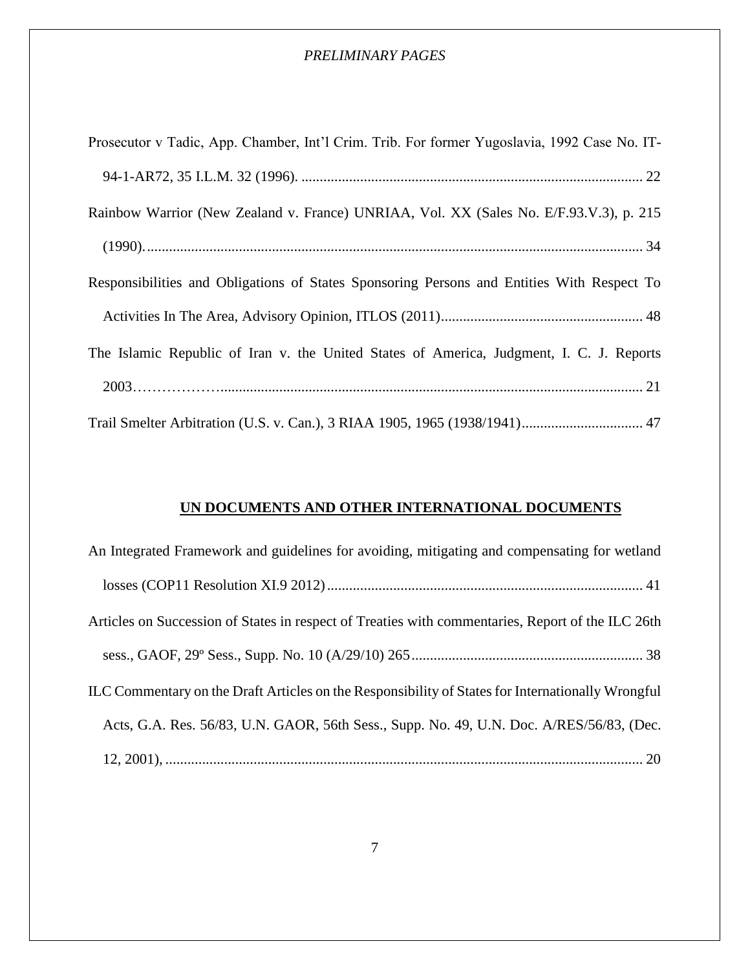| Prosecutor v Tadic, App. Chamber, Int'l Crim. Trib. For former Yugoslavia, 1992 Case No. IT- |
|----------------------------------------------------------------------------------------------|
|                                                                                              |
| Rainbow Warrior (New Zealand v. France) UNRIAA, Vol. XX (Sales No. E/F.93.V.3), p. 215       |
|                                                                                              |
| Responsibilities and Obligations of States Sponsoring Persons and Entities With Respect To   |
|                                                                                              |
| The Islamic Republic of Iran v. the United States of America, Judgment, I. C. J. Reports     |
|                                                                                              |
|                                                                                              |

# **UN DOCUMENTS AND OTHER INTERNATIONAL DOCUMENTS**

| An Integrated Framework and guidelines for avoiding, mitigating and compensating for wetland      |
|---------------------------------------------------------------------------------------------------|
|                                                                                                   |
| Articles on Succession of States in respect of Treaties with commentaries, Report of the ILC 26th |
|                                                                                                   |
| ILC Commentary on the Draft Articles on the Responsibility of States for Internationally Wrongful |
| Acts, G.A. Res. 56/83, U.N. GAOR, 56th Sess., Supp. No. 49, U.N. Doc. A/RES/56/83, (Dec.          |
|                                                                                                   |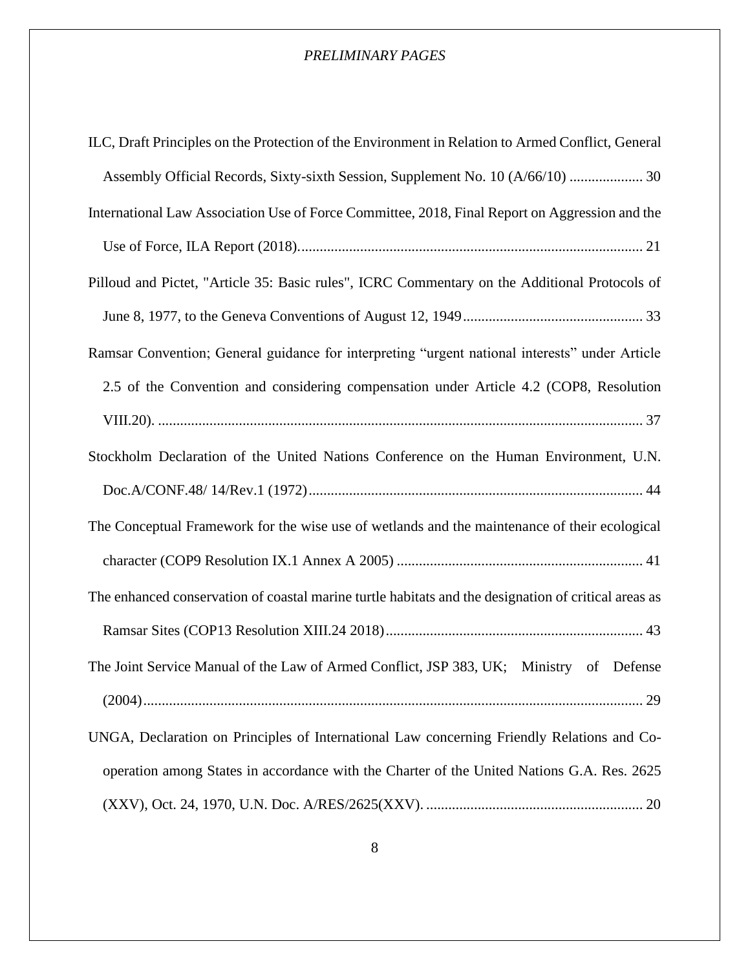| ILC, Draft Principles on the Protection of the Environment in Relation to Armed Conflict, General    |
|------------------------------------------------------------------------------------------------------|
| Assembly Official Records, Sixty-sixth Session, Supplement No. 10 (A/66/10)  30                      |
| International Law Association Use of Force Committee, 2018, Final Report on Aggression and the       |
|                                                                                                      |
| Pilloud and Pictet, "Article 35: Basic rules", ICRC Commentary on the Additional Protocols of        |
|                                                                                                      |
| Ramsar Convention; General guidance for interpreting "urgent national interests" under Article       |
| 2.5 of the Convention and considering compensation under Article 4.2 (COP8, Resolution               |
|                                                                                                      |
| Stockholm Declaration of the United Nations Conference on the Human Environment, U.N.                |
|                                                                                                      |
| The Conceptual Framework for the wise use of wetlands and the maintenance of their ecological        |
|                                                                                                      |
| The enhanced conservation of coastal marine turtle habitats and the designation of critical areas as |
|                                                                                                      |
| The Joint Service Manual of the Law of Armed Conflict, JSP 383, UK; Ministry of Defense              |
|                                                                                                      |
| UNGA, Declaration on Principles of International Law concerning Friendly Relations and Co-           |
| operation among States in accordance with the Charter of the United Nations G.A. Res. 2625           |
|                                                                                                      |
|                                                                                                      |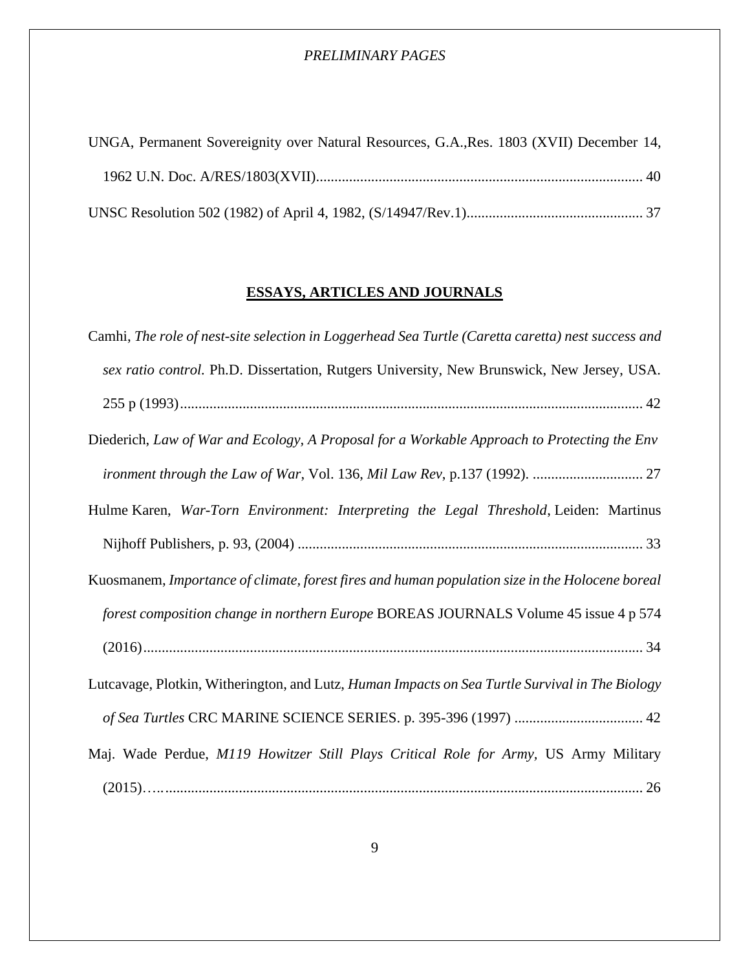| UNGA, Permanent Sovereignity over Natural Resources, G.A., Res. 1803 (XVII) December 14, |  |
|------------------------------------------------------------------------------------------|--|
|                                                                                          |  |
|                                                                                          |  |

# **ESSAYS, ARTICLES AND JOURNALS**

| Camhi, The role of nest-site selection in Loggerhead Sea Turtle (Caretta caretta) nest success and |
|----------------------------------------------------------------------------------------------------|
| sex ratio control. Ph.D. Dissertation, Rutgers University, New Brunswick, New Jersey, USA.         |
|                                                                                                    |
| Diederich, Law of War and Ecology, A Proposal for a Workable Approach to Protecting the Env        |
|                                                                                                    |
| Hulme Karen, War-Torn Environment: Interpreting the Legal Threshold, Leiden: Martinus              |
|                                                                                                    |
| Kuosmanem, Importance of climate, forest fires and human population size in the Holocene boreal    |
| forest composition change in northern Europe BOREAS JOURNALS Volume 45 issue 4 p 574               |
|                                                                                                    |
| Lutcavage, Plotkin, Witherington, and Lutz, Human Impacts on Sea Turtle Survival in The Biology    |
|                                                                                                    |
| Maj. Wade Perdue, M119 Howitzer Still Plays Critical Role for Army, US Army Military               |
|                                                                                                    |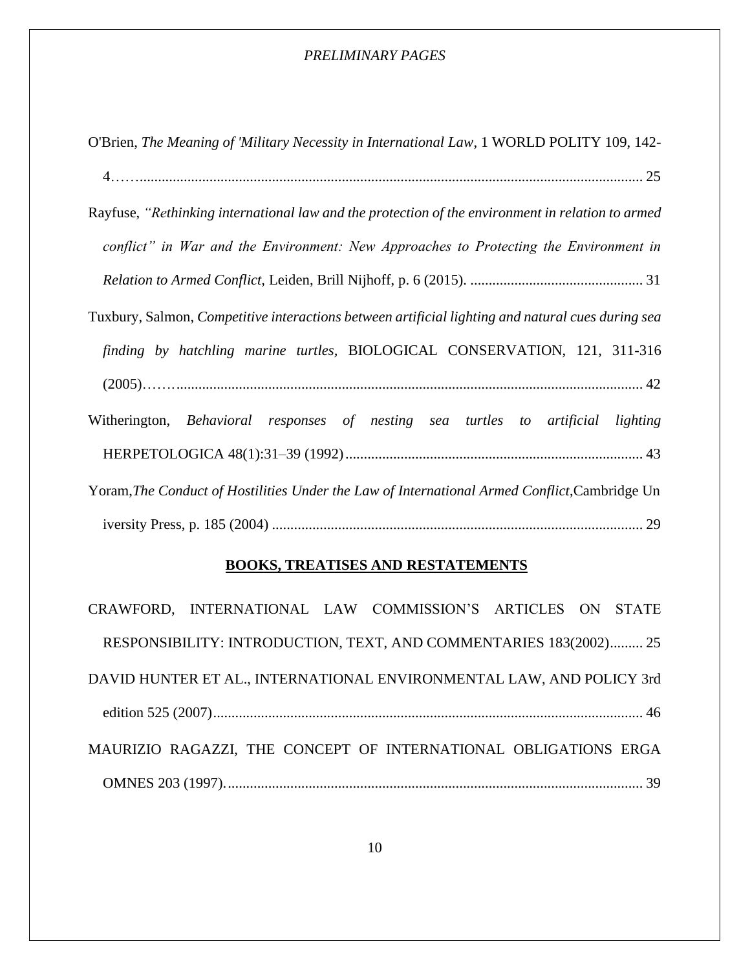| O'Brien, The Meaning of 'Military Necessity in International Law, 1 WORLD POLITY 109, 142-        |
|---------------------------------------------------------------------------------------------------|
|                                                                                                   |
| Rayfuse, "Rethinking international law and the protection of the environment in relation to armed |
| conflict" in War and the Environment: New Approaches to Protecting the Environment in             |
|                                                                                                   |
| Tuxbury, Salmon, Competitive interactions between artificial lighting and natural cues during sea |
| finding by hatchling marine turtles, BIOLOGICAL CONSERVATION, 121, 311-316                        |
|                                                                                                   |
| Witherington, Behavioral responses of nesting sea turtles to artificial lighting                  |
|                                                                                                   |
| Yoram, The Conduct of Hostilities Under the Law of International Armed Conflict, Cambridge Un     |
|                                                                                                   |

## **BOOKS, TREATISES AND RESTATEMENTS**

CRAWFORD, INTERNATIONAL LAW COMMISSION'S ARTICLES ON STATE RESPONSIBILITY: INTRODUCTION, TEXT, AND COMMENTARIES 183(2002)......... 25 DAVID HUNTER ET AL., INTERNATIONAL ENVIRONMENTAL LAW, AND POLICY 3rd edition 525 (2007)..................................................................................................................... 46 MAURIZIO RAGAZZI, THE CONCEPT OF INTERNATIONAL OBLIGATIONS ERGA OMNES 203 (1997).................................................................................................................. 39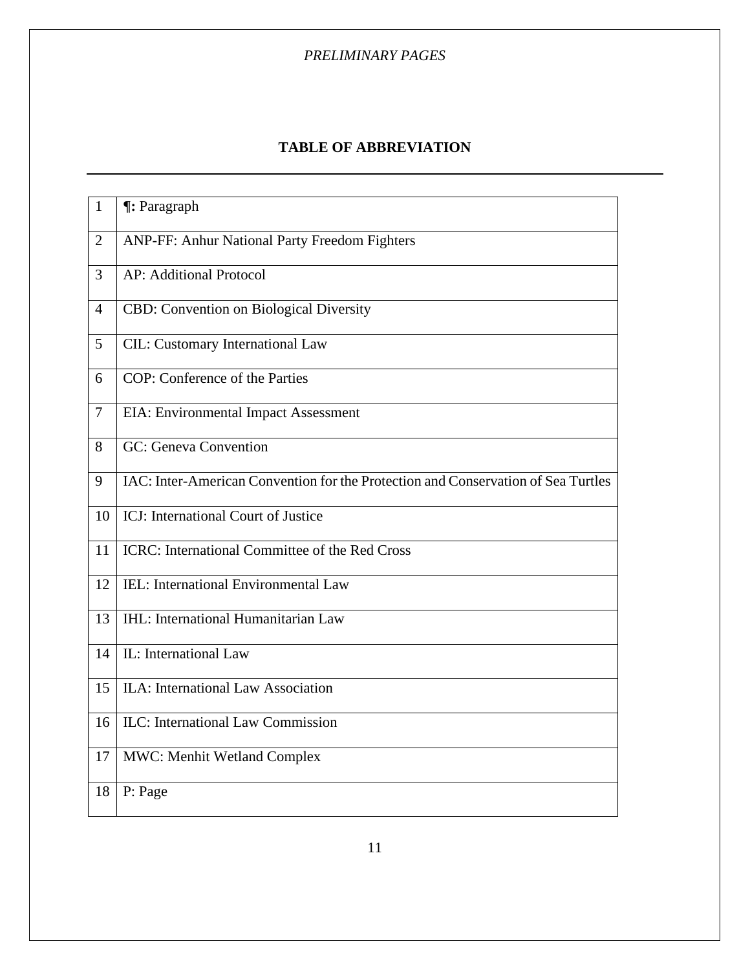# **TABLE OF ABBREVIATION**

<span id="page-10-0"></span>

| $\mathbf{1}$   |                                                                                   |
|----------------|-----------------------------------------------------------------------------------|
|                | <b>¶:</b> Paragraph                                                               |
| $\overline{2}$ | ANP-FF: Anhur National Party Freedom Fighters                                     |
| $\overline{3}$ | AP: Additional Protocol                                                           |
| $\overline{4}$ | <b>CBD:</b> Convention on Biological Diversity                                    |
| 5              | CIL: Customary International Law                                                  |
| 6              | COP: Conference of the Parties                                                    |
| $\overline{7}$ | EIA: Environmental Impact Assessment                                              |
| 8              | <b>GC:</b> Geneva Convention                                                      |
| 9              | IAC: Inter-American Convention for the Protection and Conservation of Sea Turtles |
| 10             | ICJ: International Court of Justice                                               |
| 11             | <b>ICRC:</b> International Committee of the Red Cross                             |
| 12             | IEL: International Environmental Law                                              |
| 13             | <b>IHL:</b> International Humanitarian Law                                        |
| 14             | IL: International Law                                                             |
| 15             | ILA: International Law Association                                                |
| 16             | ILC: International Law Commission                                                 |
| 17             | MWC: Menhit Wetland Complex                                                       |
| 18             | P: Page                                                                           |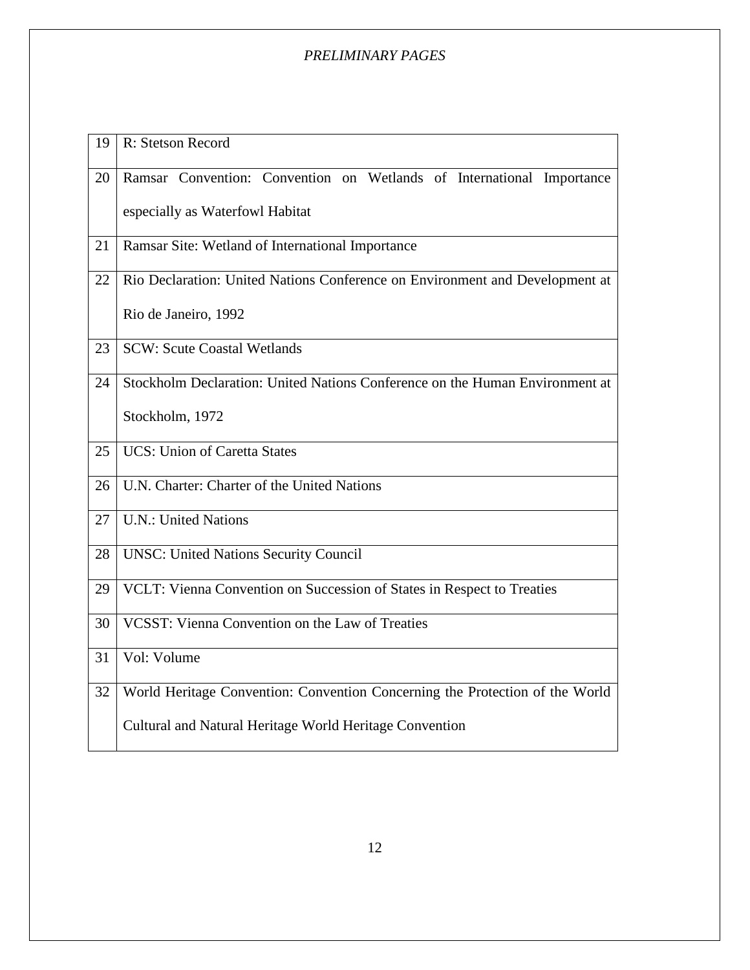| 19 | R: Stetson Record                                                            |
|----|------------------------------------------------------------------------------|
| 20 | Ramsar Convention: Convention on Wetlands of International Importance        |
|    | especially as Waterfowl Habitat                                              |
| 21 | Ramsar Site: Wetland of International Importance                             |
| 22 | Rio Declaration: United Nations Conference on Environment and Development at |
|    | Rio de Janeiro, 1992                                                         |
| 23 | <b>SCW: Scute Coastal Wetlands</b>                                           |
| 24 | Stockholm Declaration: United Nations Conference on the Human Environment at |
|    | Stockholm, 1972                                                              |
| 25 | <b>UCS:</b> Union of Caretta States                                          |
| 26 | U.N. Charter: Charter of the United Nations                                  |
| 27 | <b>U.N.: United Nations</b>                                                  |
| 28 | <b>UNSC: United Nations Security Council</b>                                 |
| 29 | VCLT: Vienna Convention on Succession of States in Respect to Treaties       |
| 30 | <b>VCSST: Vienna Convention on the Law of Treaties</b>                       |
| 31 | Vol: Volume                                                                  |
| 32 | World Heritage Convention: Convention Concerning the Protection of the World |
|    | Cultural and Natural Heritage World Heritage Convention                      |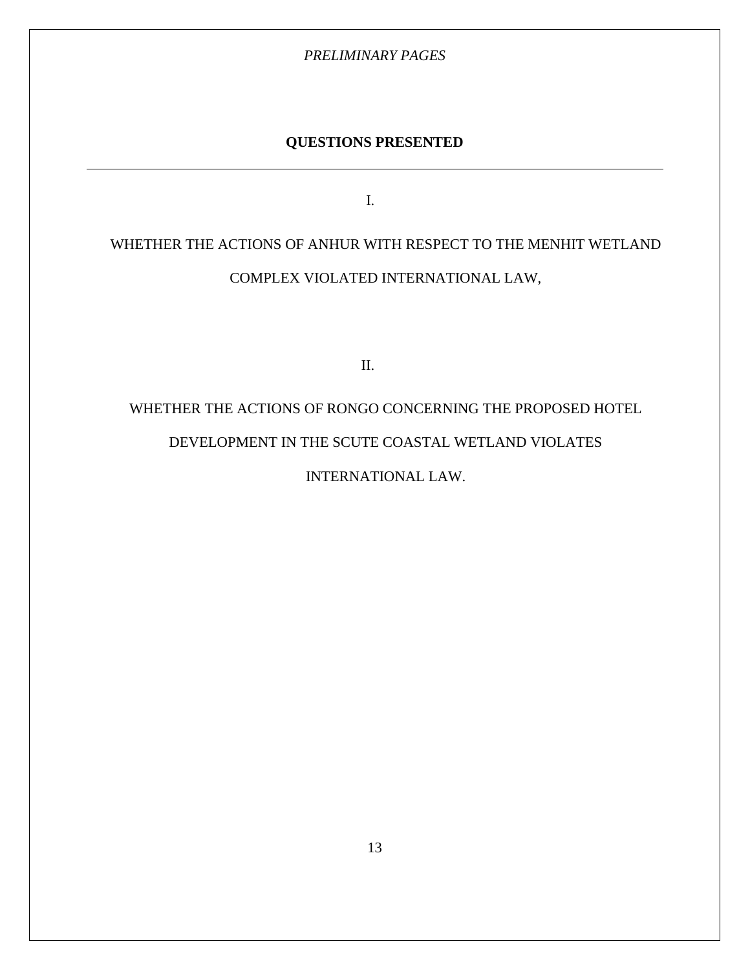## **QUESTIONS PRESENTED**

I.

# <span id="page-12-0"></span>WHETHER THE ACTIONS OF ANHUR WITH RESPECT TO THE MENHIT WETLAND COMPLEX VIOLATED INTERNATIONAL LAW,

II.

## WHETHER THE ACTIONS OF RONGO CONCERNING THE PROPOSED HOTEL

## DEVELOPMENT IN THE SCUTE COASTAL WETLAND VIOLATES

## INTERNATIONAL LAW.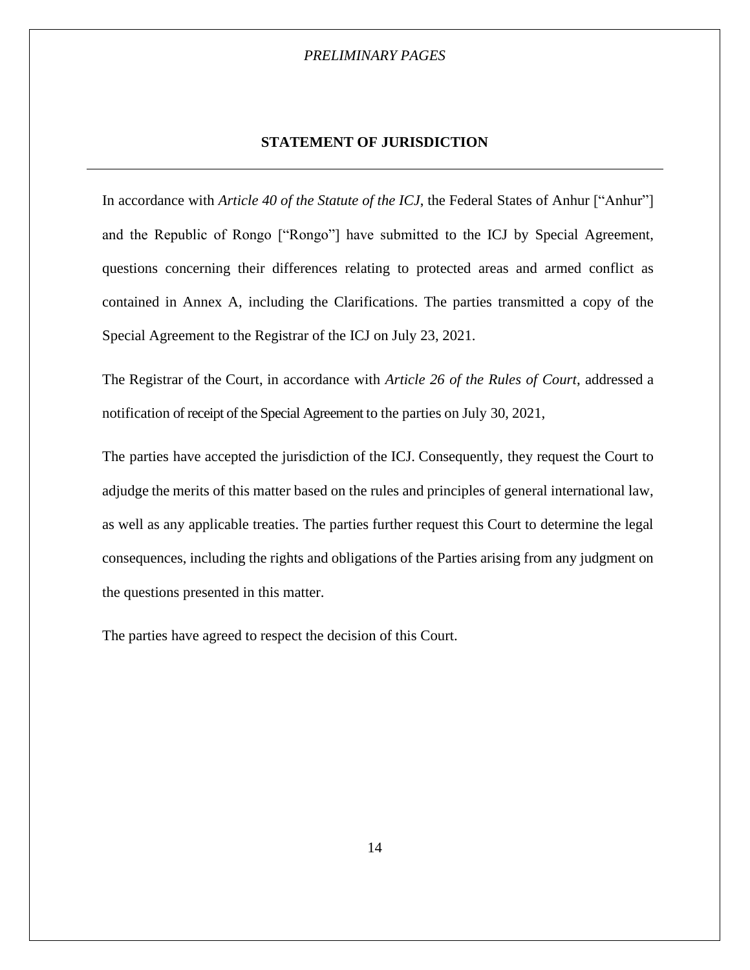### **STATEMENT OF JURISDICTION**

<span id="page-13-0"></span>In accordance with *Article 40 of the Statute of the ICJ*, the Federal States of Anhur ["Anhur"] and the Republic of Rongo ["Rongo"] have submitted to the ICJ by Special Agreement, questions concerning their differences relating to protected areas and armed conflict as contained in Annex A, including the Clarifications. The parties transmitted a copy of the Special Agreement to the Registrar of the ICJ on July 23, 2021.

The Registrar of the Court, in accordance with *Article 26 of the Rules of Court*, addressed a notification of receipt of the Special Agreement to the parties on July 30, 2021,

The parties have accepted the jurisdiction of the ICJ. Consequently, they request the Court to adjudge the merits of this matter based on the rules and principles of general international law, as well as any applicable treaties. The parties further request this Court to determine the legal consequences, including the rights and obligations of the Parties arising from any judgment on the questions presented in this matter.

The parties have agreed to respect the decision of this Court.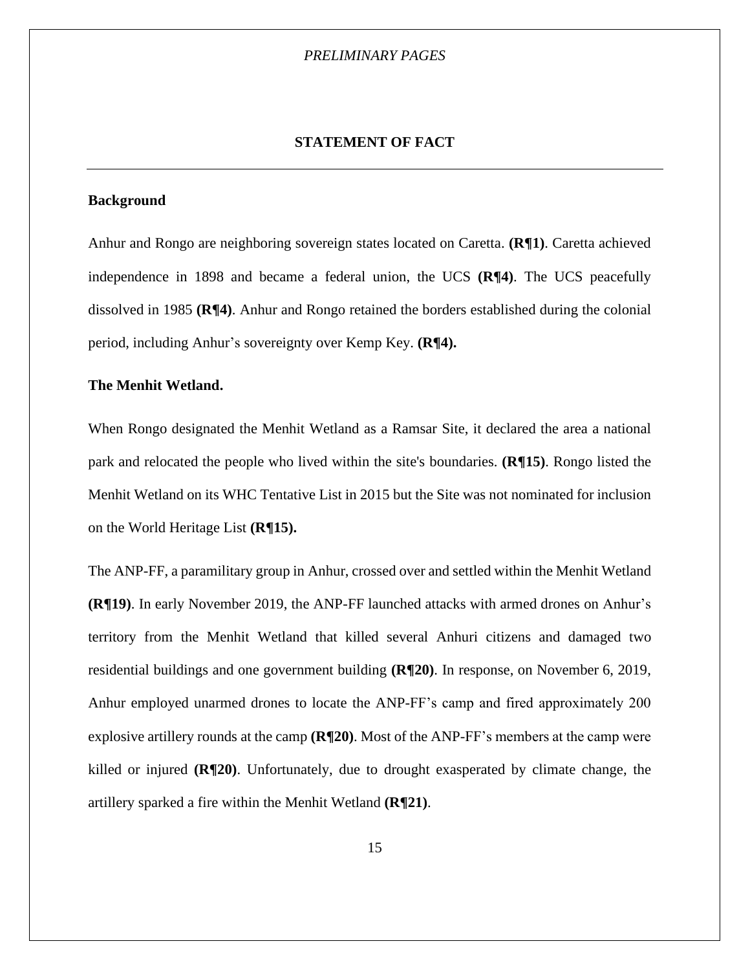### **STATEMENT OF FACT**

### <span id="page-14-0"></span>**Background**

Anhur and Rongo are neighboring sovereign states located on Caretta. **(R¶1)**. Caretta achieved independence in 1898 and became a federal union, the UCS **(R¶4)**. The UCS peacefully dissolved in 1985 **(R¶4)**. Anhur and Rongo retained the borders established during the colonial period, including Anhur's sovereignty over Kemp Key. **(R¶4).**

### **The Menhit Wetland.**

When Rongo designated the Menhit Wetland as a Ramsar Site, it declared the area a national park and relocated the people who lived within the site's boundaries. **(R¶15)**. Rongo listed the Menhit Wetland on its WHC Tentative List in 2015 but the Site was not nominated for inclusion on the World Heritage List **(R¶15).**

The ANP-FF, a paramilitary group in Anhur, crossed over and settled within the Menhit Wetland **(R¶19)**. In early November 2019, the ANP-FF launched attacks with armed drones on Anhur's territory from the Menhit Wetland that killed several Anhuri citizens and damaged two residential buildings and one government building **(R¶20)**. In response, on November 6, 2019, Anhur employed unarmed drones to locate the ANP-FF's camp and fired approximately 200 explosive artillery rounds at the camp **(R¶20)**. Most of the ANP-FF's members at the camp were killed or injured **(R¶20)**. Unfortunately, due to drought exasperated by climate change, the artillery sparked a fire within the Menhit Wetland **(R¶21)**.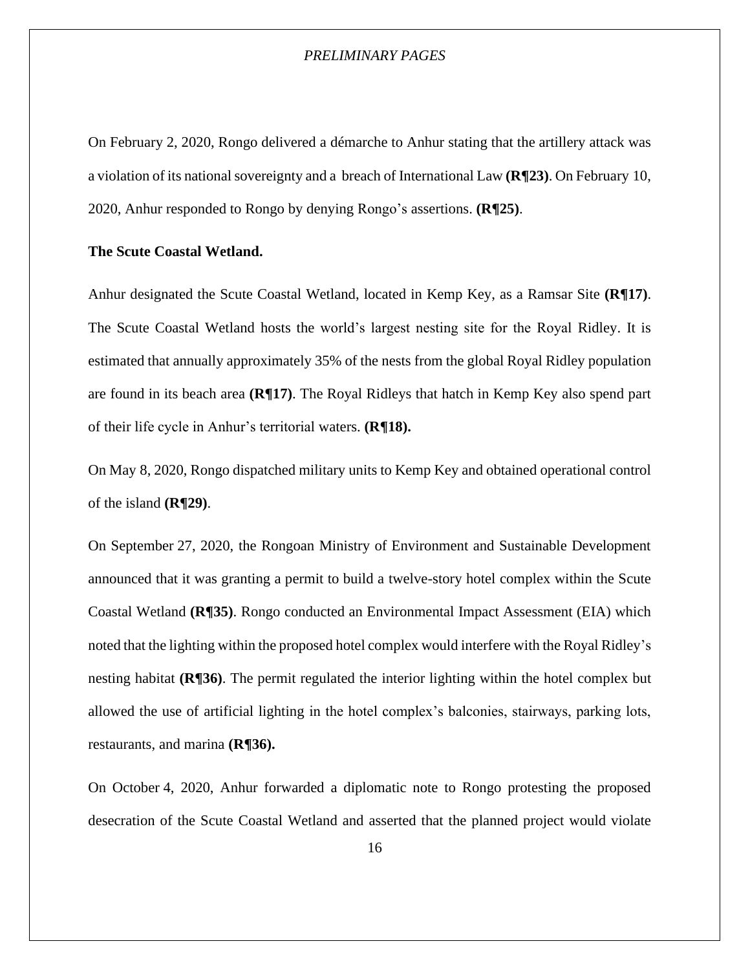On February 2, 2020, Rongo delivered a démarche to Anhur stating that the artillery attack was a violation of its national sovereignty and a breach of International Law **(R¶23)**. On February 10, 2020, Anhur responded to Rongo by denying Rongo's assertions. **(R¶25)**.

### **The Scute Coastal Wetland.**

Anhur designated the Scute Coastal Wetland, located in Kemp Key, as a Ramsar Site **(R¶17)**. The Scute Coastal Wetland hosts the world's largest nesting site for the Royal Ridley. It is estimated that annually approximately 35% of the nests from the global Royal Ridley population are found in its beach area **(R¶17)**. The Royal Ridleys that hatch in Kemp Key also spend part of their life cycle in Anhur's territorial waters. **(R¶18).**

On May 8, 2020, Rongo dispatched military units to Kemp Key and obtained operational control of the island **(R¶29)**.

On September 27, 2020, the Rongoan Ministry of Environment and Sustainable Development announced that it was granting a permit to build a twelve-story hotel complex within the Scute Coastal Wetland **(R¶35)**. Rongo conducted an Environmental Impact Assessment (EIA) which noted that the lighting within the proposed hotel complex would interfere with the Royal Ridley's nesting habitat **(R¶36)**. The permit regulated the interior lighting within the hotel complex but allowed the use of artificial lighting in the hotel complex's balconies, stairways, parking lots, restaurants, and marina **(R¶36).**

On October 4, 2020, Anhur forwarded a diplomatic note to Rongo protesting the proposed desecration of the Scute Coastal Wetland and asserted that the planned project would violate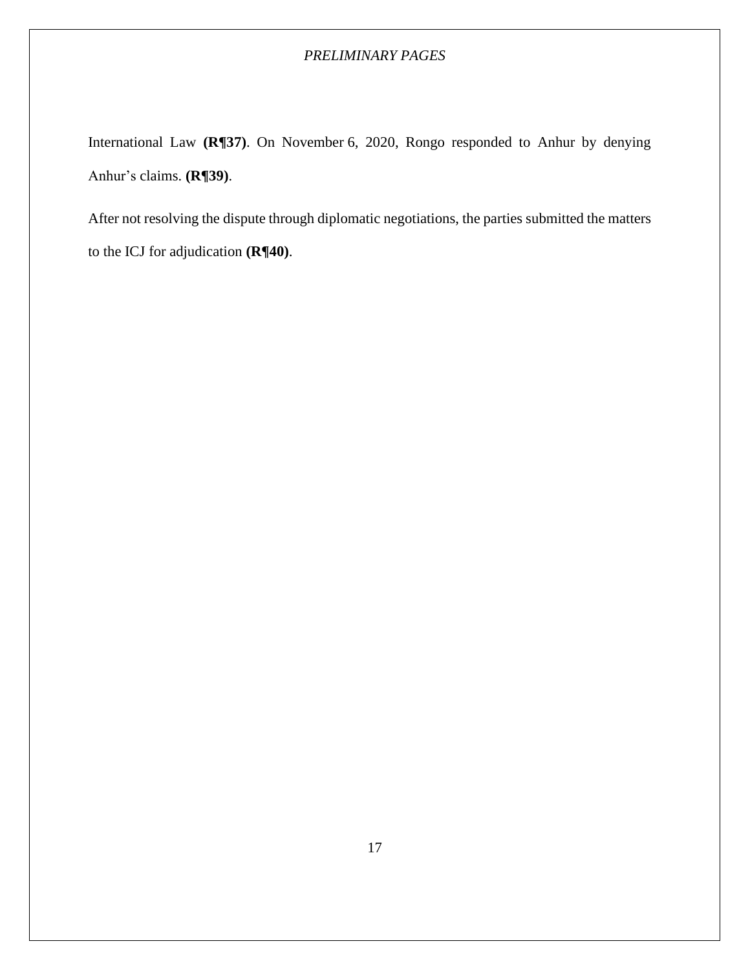International Law **(R¶37)**. On November 6, 2020, Rongo responded to Anhur by denying Anhur's claims. **(R¶39)**.

After not resolving the dispute through diplomatic negotiations, the parties submitted the matters to the ICJ for adjudication **(R¶40)**.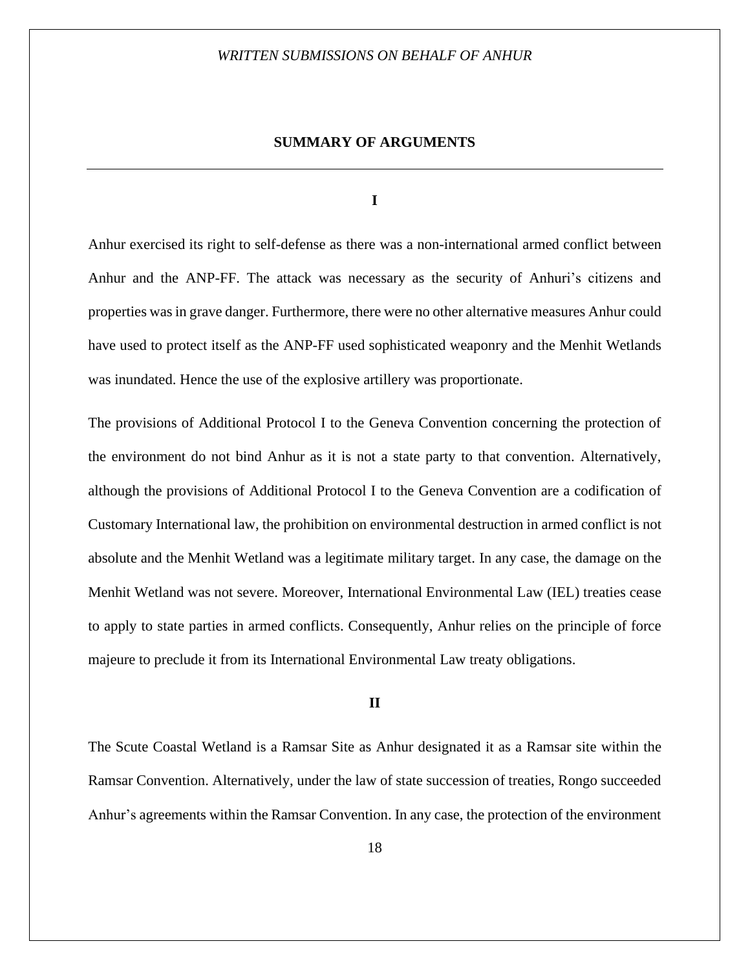### **SUMMARY OF ARGUMENTS**

**I**

<span id="page-17-0"></span>Anhur exercised its right to self-defense as there was a non-international armed conflict between Anhur and the ANP-FF. The attack was necessary as the security of Anhuri's citizens and properties was in grave danger. Furthermore, there were no other alternative measures Anhur could have used to protect itself as the ANP-FF used sophisticated weaponry and the Menhit Wetlands was inundated. Hence the use of the explosive artillery was proportionate.

The provisions of Additional Protocol I to the Geneva Convention concerning the protection of the environment do not bind Anhur as it is not a state party to that convention. Alternatively, although the provisions of Additional Protocol I to the Geneva Convention are a codification of Customary International law, the prohibition on environmental destruction in armed conflict is not absolute and the Menhit Wetland was a legitimate military target. In any case, the damage on the Menhit Wetland was not severe. Moreover, International Environmental Law (IEL) treaties cease to apply to state parties in armed conflicts. Consequently, Anhur relies on the principle of force majeure to preclude it from its International Environmental Law treaty obligations.

## **II**

The Scute Coastal Wetland is a Ramsar Site as Anhur designated it as a Ramsar site within the Ramsar Convention. Alternatively, under the law of state succession of treaties, Rongo succeeded Anhur's agreements within the Ramsar Convention. In any case, the protection of the environment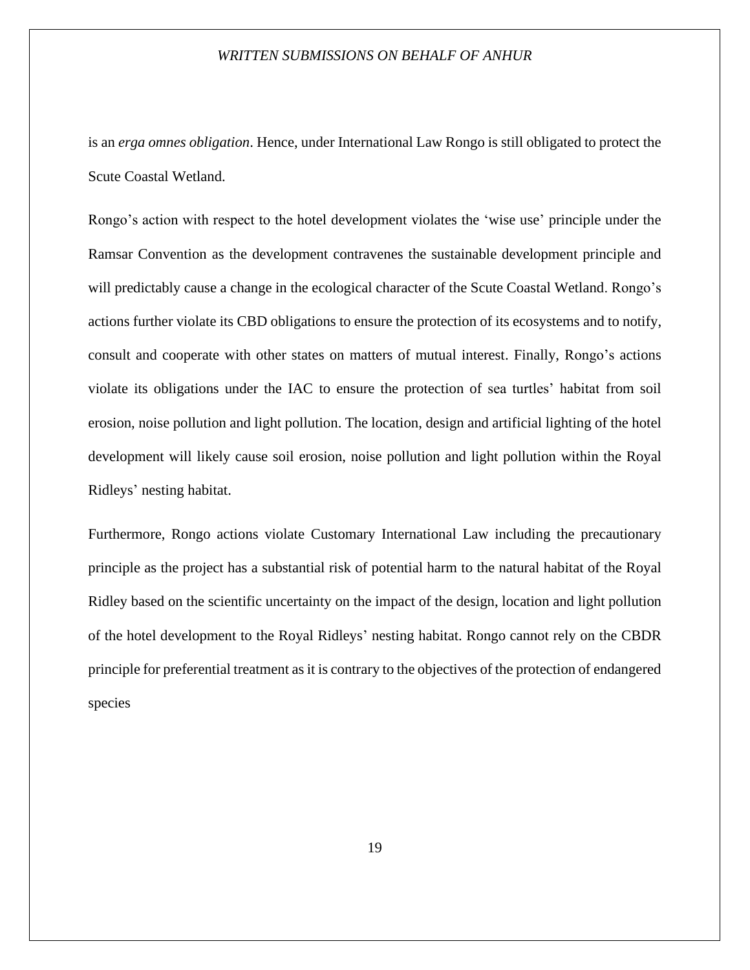is an *erga omnes obligation*. Hence, under International Law Rongo is still obligated to protect the Scute Coastal Wetland.

Rongo's action with respect to the hotel development violates the 'wise use' principle under the Ramsar Convention as the development contravenes the sustainable development principle and will predictably cause a change in the ecological character of the Scute Coastal Wetland. Rongo's actions further violate its CBD obligations to ensure the protection of its ecosystems and to notify, consult and cooperate with other states on matters of mutual interest. Finally, Rongo's actions violate its obligations under the IAC to ensure the protection of sea turtles' habitat from soil erosion, noise pollution and light pollution. The location, design and artificial lighting of the hotel development will likely cause soil erosion, noise pollution and light pollution within the Royal Ridleys' nesting habitat.

Furthermore, Rongo actions violate Customary International Law including the precautionary principle as the project has a substantial risk of potential harm to the natural habitat of the Royal Ridley based on the scientific uncertainty on the impact of the design, location and light pollution of the hotel development to the Royal Ridleys' nesting habitat. Rongo cannot rely on the CBDR principle for preferential treatment as it is contrary to the objectives of the protection of endangered species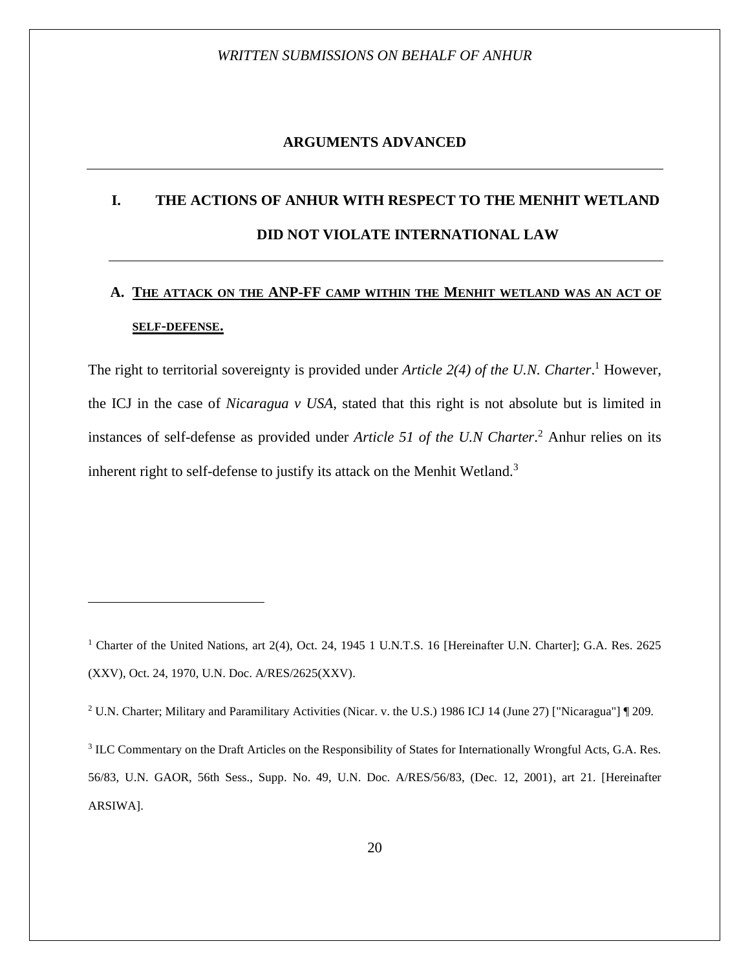### **ARGUMENTS ADVANCED**

# <span id="page-19-1"></span><span id="page-19-0"></span>**I. THE ACTIONS OF ANHUR WITH RESPECT TO THE MENHIT WETLAND DID NOT VIOLATE INTERNATIONAL LAW**

# <span id="page-19-2"></span>**A. THE ATTACK ON THE ANP-FF CAMP WITHIN THE MENHIT WETLAND WAS AN ACT OF SELF-DEFENSE.**

The right to territorial sovereignty is provided under *Article 2(4) of the U.N. Charter*. <sup>1</sup> However, the ICJ in the case of *Nicaragua v USA*, stated that this right is not absolute but is limited in instances of self-defense as provided under *Article 51 of the U.N Charter*. <sup>2</sup> Anhur relies on its inherent right to self-defense to justify its attack on the Menhit Wetland.<sup>3</sup>

<sup>2</sup> U.N. Charter; Military and Paramilitary Activities (Nicar. v. the U.S.) 1986 ICJ 14 (June 27) ["Nicaragua"] ¶ 209.

<sup>3</sup> ILC Commentary on the Draft Articles on the Responsibility of States for Internationally Wrongful Acts, G.A. Res. 56/83, U.N. GAOR, 56th Sess., Supp. No. 49, U.N. Doc. A/RES/56/83, (Dec. 12, 2001), art 21. [Hereinafter ARSIWA].

<sup>&</sup>lt;sup>1</sup> Charter of the United Nations, art 2(4), Oct. 24, 1945 1 U.N.T.S. 16 [Hereinafter U.N. Charter]; G.A. Res. 2625 (XXV), Oct. 24, 1970, U.N. Doc. A/RES/2625(XXV).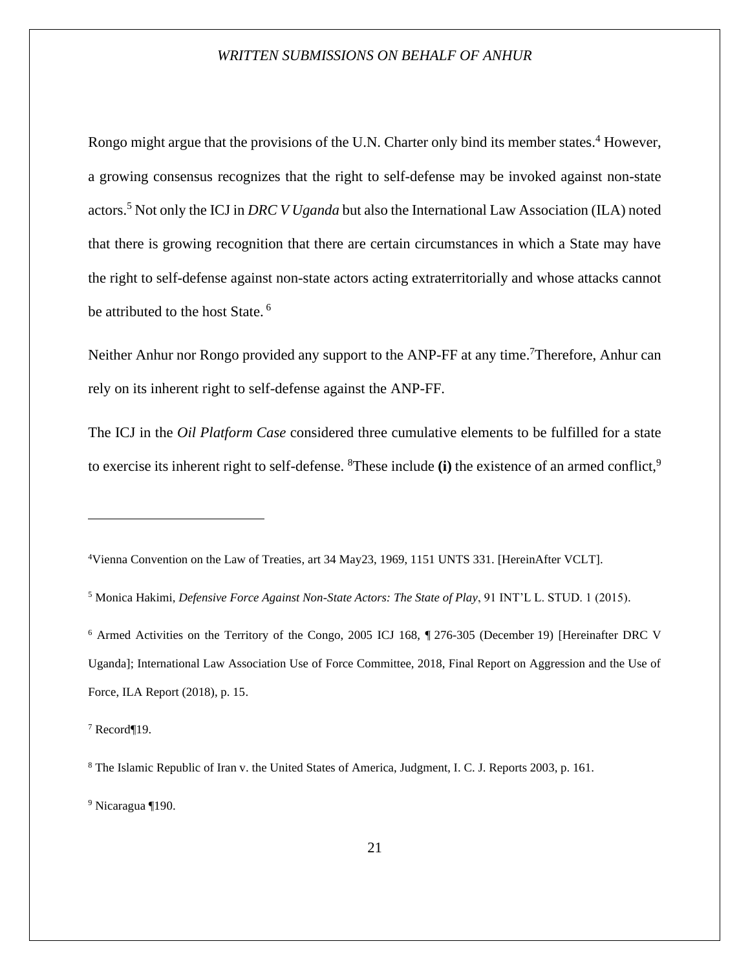Rongo might argue that the provisions of the U.N. Charter only bind its member states.<sup>4</sup> However, a growing consensus recognizes that the right to self-defense may be invoked against non-state actors.<sup>5</sup> Not only the ICJ in *DRC V Uganda* but also the International Law Association (ILA) noted that there is growing recognition that there are certain circumstances in which a State may have the right to self-defense against non-state actors acting extraterritorially and whose attacks cannot be attributed to the host State.<sup>6</sup>

Neither Anhur nor Rongo provided any support to the ANP-FF at any time.<sup>7</sup>Therefore, Anhur can rely on its inherent right to self-defense against the ANP-FF.

The ICJ in the *Oil Platform Case* considered three cumulative elements to be fulfilled for a state to exercise its inherent right to self-defense. <sup>8</sup>These include **(i)** the existence of an armed conflict,<sup>9</sup>

<sup>6</sup> Armed Activities on the Territory of the Congo, 2005 ICJ 168, ¶ 276-305 (December 19) [Hereinafter DRC V Uganda]; International Law Association Use of Force Committee, 2018, Final Report on Aggression and the Use of Force, ILA Report (2018), p. 15.

<sup>7</sup> Record¶19.

<sup>9</sup> Nicaragua ¶190.

<sup>4</sup>Vienna Convention on the Law of Treaties, art 34 May23, 1969, 1151 UNTS 331. [HereinAfter VCLT].

<sup>5</sup> Monica Hakimi, *Defensive Force Against Non-State Actors: The State of Play*, 91 INT'L L. STUD. 1 (2015).

<sup>8</sup> The Islamic Republic of Iran v. the United States of America, Judgment, I. C. J. Reports 2003, p. 161.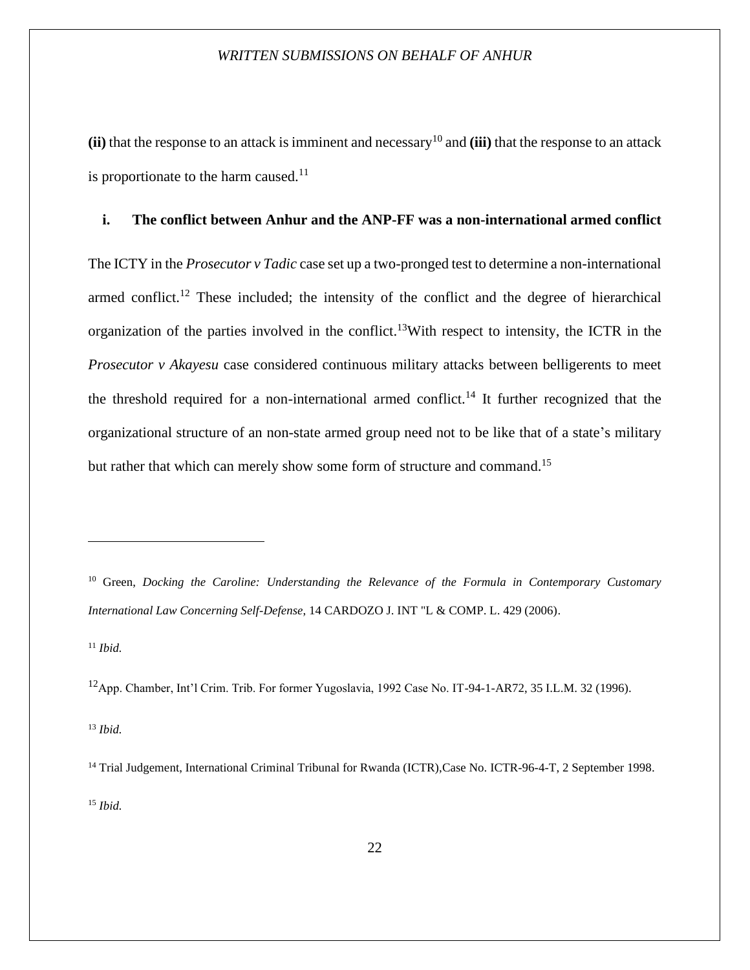$(iii)$  that the response to an attack is imminent and necessary<sup>10</sup> and  $(iii)$  that the response to an attack is proportionate to the harm caused.<sup>11</sup>

### <span id="page-21-0"></span>**i. The conflict between Anhur and the ANP-FF was a non-international armed conflict**

The ICTY in the *Prosecutor v Tadic* case set up a two-pronged test to determine a non-international armed conflict.<sup>12</sup> These included; the intensity of the conflict and the degree of hierarchical organization of the parties involved in the conflict.<sup>13</sup>With respect to intensity, the ICTR in the *Prosecutor v Akayesu* case considered continuous military attacks between belligerents to meet the threshold required for a non-international armed conflict.<sup>14</sup> It further recognized that the organizational structure of an non-state armed group need not to be like that of a state's military but rather that which can merely show some form of structure and command.<sup>15</sup>

<sup>10</sup> Green, *Docking the Caroline: Understanding the Relevance of the Formula in Contemporary Customary International Law Concerning Self-Defense*, 14 CARDOZO J. INT "L & COMP. L. 429 (2006).

<sup>11</sup> *Ibid.*

<sup>12</sup>App. Chamber, Int'l Crim. Trib. For former Yugoslavia, 1992 Case No. IT-94-1-AR72, 35 I.L.M. 32 (1996). <sup>13</sup> *Ibid.*

<sup>14</sup> Trial Judgement, International Criminal Tribunal for Rwanda (ICTR), Case No. ICTR-96-4-T, 2 September 1998. <sup>15</sup> *Ibid.*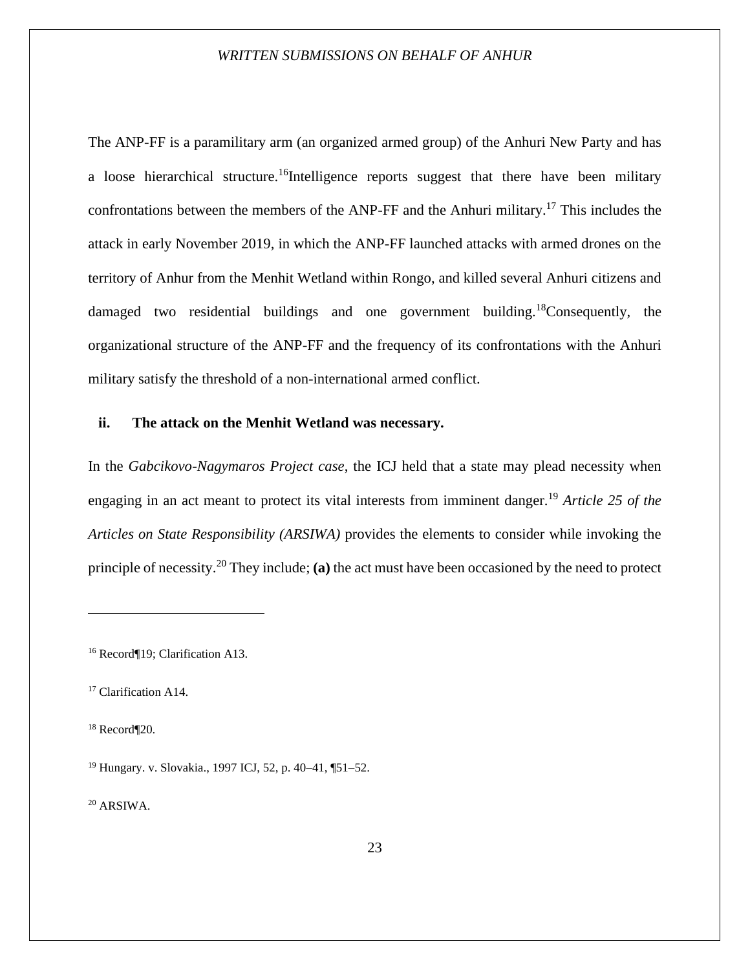The ANP-FF is a paramilitary arm (an organized armed group) of the Anhuri New Party and has a loose hierarchical structure.<sup>16</sup>Intelligence reports suggest that there have been military confrontations between the members of the ANP-FF and the Anhuri military. <sup>17</sup> This includes the attack in early November 2019, in which the ANP-FF launched attacks with armed drones on the territory of Anhur from the Menhit Wetland within Rongo, and killed several Anhuri citizens and damaged two residential buildings and one government building.<sup>18</sup>Consequently, the organizational structure of the ANP-FF and the frequency of its confrontations with the Anhuri military satisfy the threshold of a non-international armed conflict.

### <span id="page-22-0"></span>**ii. The attack on the Menhit Wetland was necessary.**

In the *Gabcikovo-Nagymaros Project case*, the ICJ held that a state may plead necessity when engaging in an act meant to protect its vital interests from imminent danger.<sup>19</sup> *Article 25 of the Articles on State Responsibility (ARSIWA)* provides the elements to consider while invoking the principle of necessity.<sup>20</sup> They include; **(a)** the act must have been occasioned by the need to protect

<sup>18</sup> Record¶20.

<sup>20</sup> ARSIWA.

<sup>16</sup> Record¶19; Clarification A13.

<sup>&</sup>lt;sup>17</sup> Clarification A14.

<sup>19</sup> Hungary. v. Slovakia., 1997 ICJ, 52, p. 40–41, ¶51–52.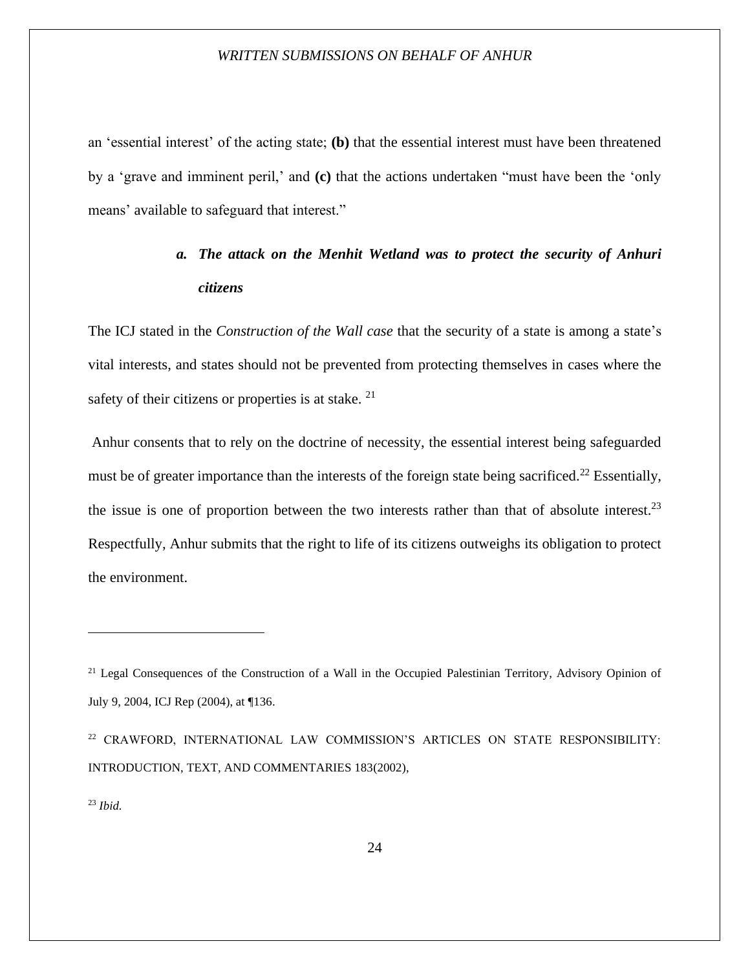an 'essential interest' of the acting state; **(b)** that the essential interest must have been threatened by a 'grave and imminent peril,' and **(c)** that the actions undertaken "must have been the 'only means' available to safeguard that interest."

# *a. The attack on the Menhit Wetland was to protect the security of Anhuri citizens*

The ICJ stated in the *Construction of the Wall case* that the security of a state is among a state's vital interests, and states should not be prevented from protecting themselves in cases where the safety of their citizens or properties is at stake.  $21$ 

Anhur consents that to rely on the doctrine of necessity, the essential interest being safeguarded must be of greater importance than the interests of the foreign state being sacrificed.<sup>22</sup> Essentially, the issue is one of proportion between the two interests rather than that of absolute interest.<sup>23</sup> Respectfully, Anhur submits that the right to life of its citizens outweighs its obligation to protect the environment.

<sup>23</sup> *Ibid.*

<sup>&</sup>lt;sup>21</sup> Legal Consequences of the Construction of a Wall in the Occupied Palestinian Territory, Advisory Opinion of July 9, 2004, ICJ Rep (2004), at ¶136.

<sup>&</sup>lt;sup>22</sup> CRAWFORD, INTERNATIONAL LAW COMMISSION'S ARTICLES ON STATE RESPONSIBILITY: INTRODUCTION, TEXT, AND COMMENTARIES 183(2002),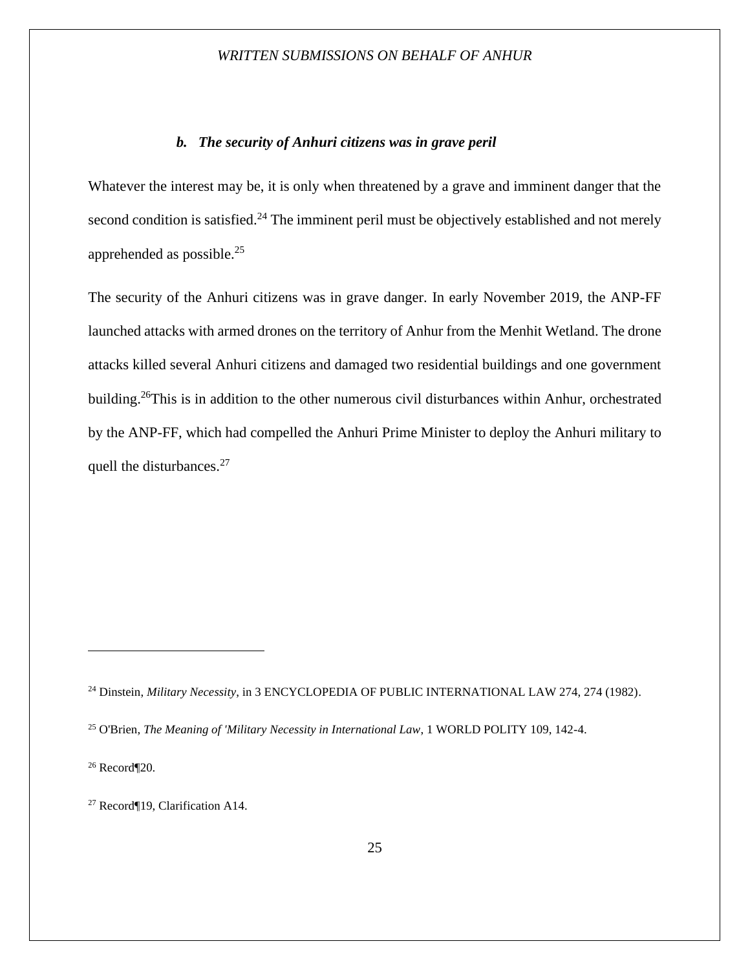### *b. The security of Anhuri citizens was in grave peril*

Whatever the interest may be, it is only when threatened by a grave and imminent danger that the second condition is satisfied.<sup>24</sup> The imminent peril must be objectively established and not merely apprehended as possible.<sup>25</sup>

The security of the Anhuri citizens was in grave danger. In early November 2019, the ANP-FF launched attacks with armed drones on the territory of Anhur from the Menhit Wetland. The drone attacks killed several Anhuri citizens and damaged two residential buildings and one government building.<sup>26</sup>This is in addition to the other numerous civil disturbances within Anhur, orchestrated by the ANP-FF, which had compelled the Anhuri Prime Minister to deploy the Anhuri military to quell the disturbances.<sup>27</sup>

<sup>26</sup> Record¶20.

<sup>24</sup> Dinstein, *Military Necessity*, in 3 ENCYCLOPEDIA OF PUBLIC INTERNATIONAL LAW 274, 274 (1982).

<sup>25</sup> O'Brien, *The Meaning of 'Military Necessity in International Law*, 1 WORLD POLITY 109, 142-4.

<sup>27</sup> Record¶19, Clarification A14.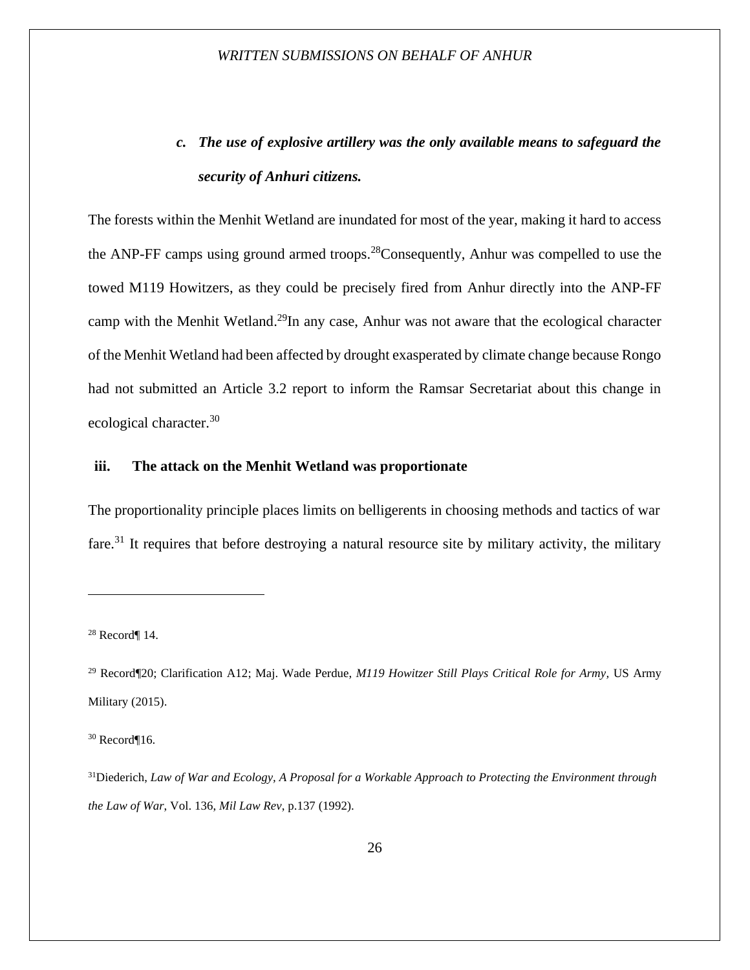# *c. The use of explosive artillery was the only available means to safeguard the security of Anhuri citizens.*

The forests within the Menhit Wetland are inundated for most of the year, making it hard to access the ANP-FF camps using ground armed troops.<sup>28</sup>Consequently, Anhur was compelled to use the towed M119 Howitzers, as they could be precisely fired from Anhur directly into the ANP-FF camp with the Menhit Wetland.<sup>29</sup>In any case, Anhur was not aware that the ecological character of the Menhit Wetland had been affected by drought exasperated by climate change because Rongo had not submitted an Article 3.2 report to inform the Ramsar Secretariat about this change in ecological character.<sup>30</sup>

### <span id="page-25-0"></span>**iii. The attack on the Menhit Wetland was proportionate**

The proportionality principle places limits on belligerents in choosing methods and tactics of war fare.<sup>31</sup> It requires that before destroying a natural resource site by military activity, the military

<sup>28</sup> Record¶ 14.

 $30$  Record¶16.

<sup>29</sup> Record¶20; Clarification A12; Maj. Wade Perdue, *M119 Howitzer Still Plays Critical Role for Army,* US Army Military (2015).

<sup>31</sup>Diederich, *Law of War and Ecology, A Proposal for a Workable Approach to Protecting the Environment through the Law of War*, Vol. 136, *Mil Law Rev*, p.137 (1992).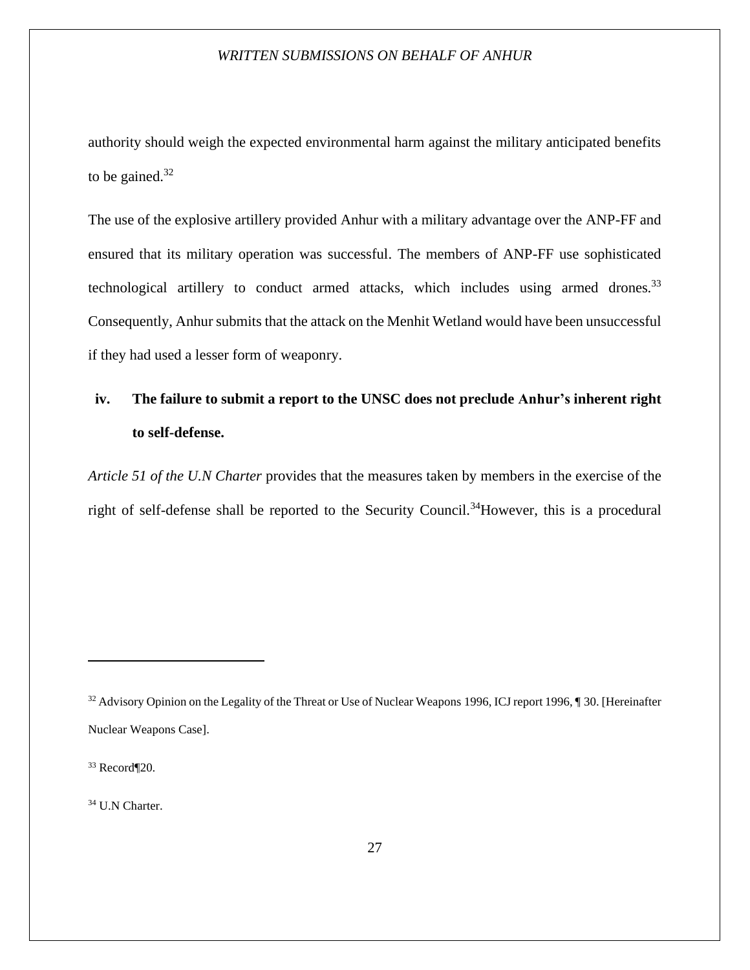authority should weigh the expected environmental harm against the military anticipated benefits to be gained. $32$ 

The use of the explosive artillery provided Anhur with a military advantage over the ANP-FF and ensured that its military operation was successful. The members of ANP-FF use sophisticated technological artillery to conduct armed attacks, which includes using armed drones.<sup>33</sup> Consequently, Anhur submits that the attack on the Menhit Wetland would have been unsuccessful if they had used a lesser form of weaponry.

# <span id="page-26-0"></span>**iv. The failure to submit a report to the UNSC does not preclude Anhur's inherent right to self-defense.**

*Article 51 of the U.N Charter* provides that the measures taken by members in the exercise of the right of self-defense shall be reported to the Security Council.<sup>34</sup>However, this is a procedural

<sup>34</sup> U.N Charter.

<sup>&</sup>lt;sup>32</sup> Advisory Opinion on the Legality of the Threat or Use of Nuclear Weapons 1996, ICJ report 1996, ¶ 30. [Hereinafter Nuclear Weapons Case].

<sup>33</sup> Record¶20.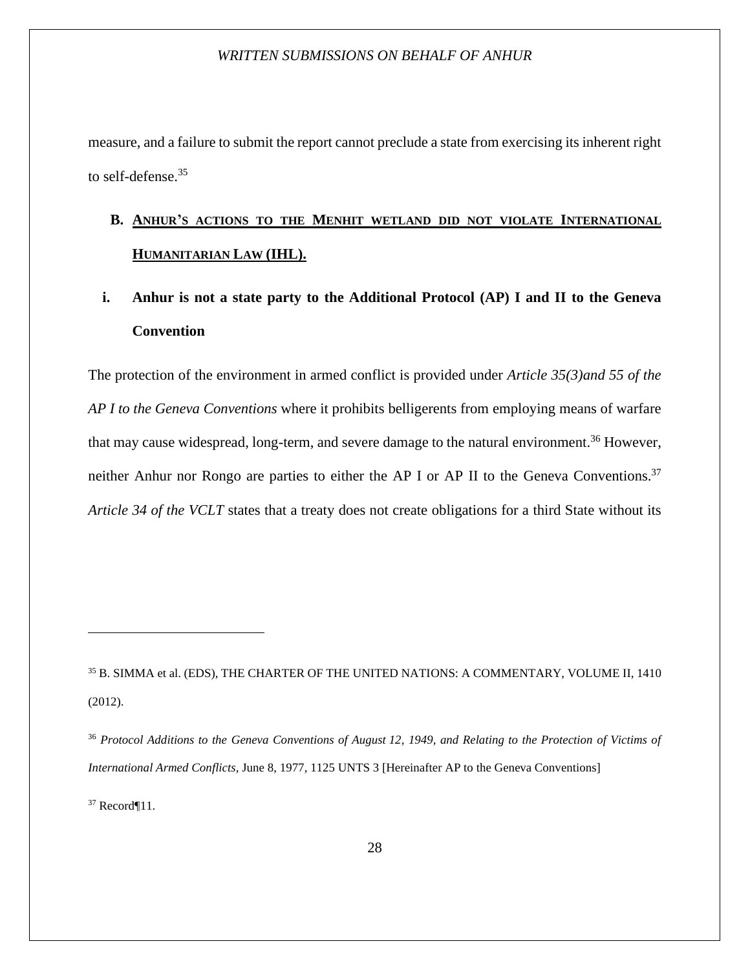measure, and a failure to submit the report cannot preclude a state from exercising its inherent right to self-defense.<sup>35</sup>

# <span id="page-27-0"></span>**B. ANHUR'S ACTIONS TO THE MENHIT WETLAND DID NOT VIOLATE INTERNATIONAL HUMANITARIAN LAW (IHL).**

# <span id="page-27-1"></span>**i. Anhur is not a state party to the Additional Protocol (AP) I and II to the Geneva Convention**

The protection of the environment in armed conflict is provided under *Article 35(3)and 55 of the AP I to the Geneva Conventions* where it prohibits belligerents from employing means of warfare that may cause widespread, long-term, and severe damage to the natural environment.<sup>36</sup> However, neither Anhur nor Rongo are parties to either the AP I or AP II to the Geneva Conventions.<sup>37</sup> *Article 34 of the VCLT* states that a treaty does not create obligations for a third State without its

<sup>37</sup> Record¶11.

<sup>35</sup> B. SIMMA et al. (EDS), THE CHARTER OF THE UNITED NATIONS: A COMMENTARY, VOLUME II, 1410 (2012).

<sup>36</sup> *Protocol Additions to the Geneva Conventions of August 12, 1949, and Relating to the Protection of Victims of International Armed Conflicts,* June 8, 1977, 1125 UNTS 3 [Hereinafter AP to the Geneva Conventions]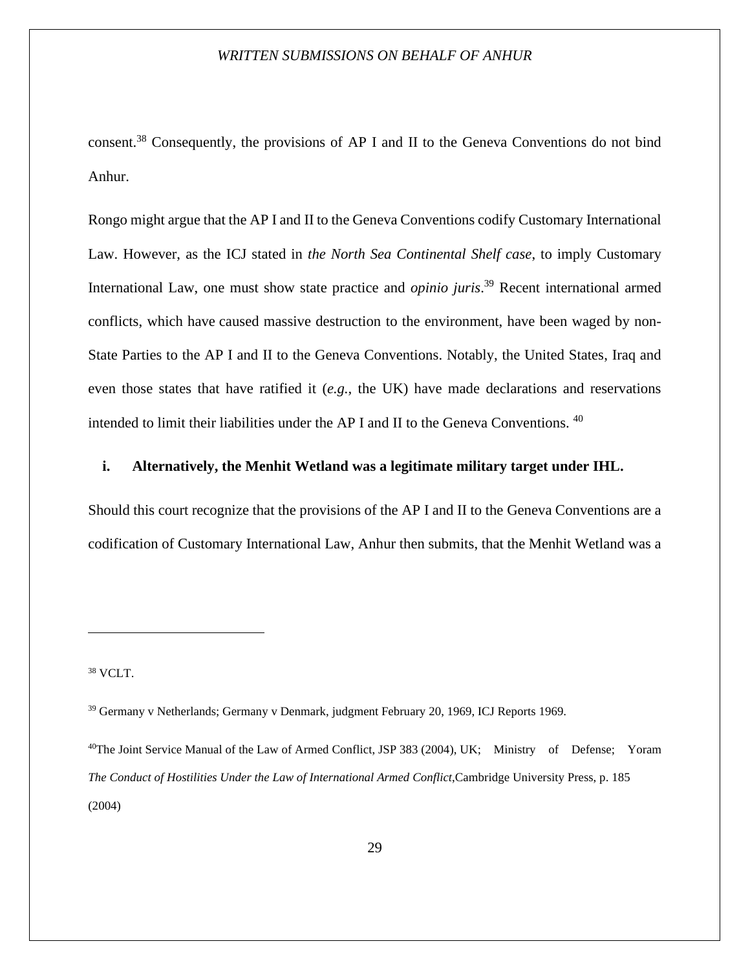consent.<sup>38</sup> Consequently, the provisions of AP I and II to the Geneva Conventions do not bind Anhur.

Rongo might argue that the AP I and II to the Geneva Conventions codify Customary International Law. However, as the ICJ stated in *the North Sea Continental Shelf case*, to imply Customary International Law, one must show state practice and *opinio juris*. <sup>39</sup> Recent international armed conflicts, which have caused massive destruction to the environment, have been waged by non-State Parties to the AP I and II to the Geneva Conventions. Notably, the United States, Iraq and even those states that have ratified it (*e.g.,* the UK) have made declarations and reservations intended to limit their liabilities under the AP I and II to the Geneva Conventions. 40

### <span id="page-28-0"></span>**i. Alternatively, the Menhit Wetland was a legitimate military target under IHL.**

Should this court recognize that the provisions of the AP I and II to the Geneva Conventions are a codification of Customary International Law, Anhur then submits, that the Menhit Wetland was a

<sup>38</sup> VCLT.

<sup>39</sup> Germany v Netherlands; Germany v Denmark, judgment February 20, 1969, ICJ Reports 1969.

<sup>40</sup>The Joint Service Manual of the Law of Armed Conflict, JSP 383 (2004), UK; Ministry of Defense; Yoram *The Conduct of Hostilities Under the Law of International Armed Conflict*,Cambridge University Press, p. 185 (2004)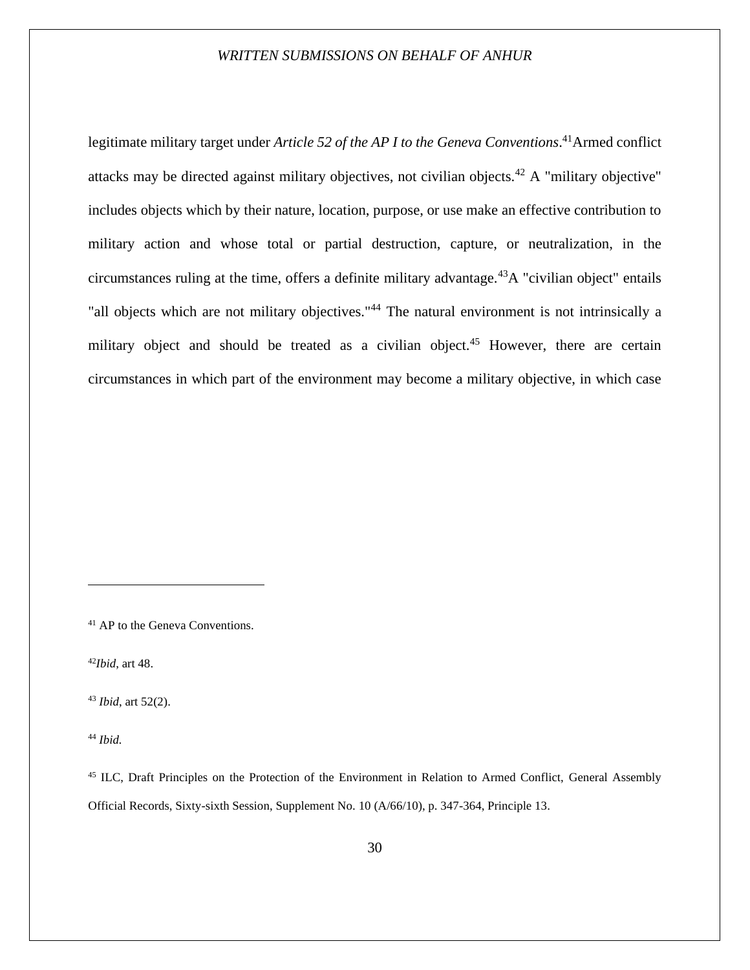legitimate military target under *Article 52 of the AP I to the Geneva Conventions*. <sup>41</sup>Armed conflict attacks may be directed against military objectives, not civilian objects.<sup>42</sup> A "military objective" includes objects which by their nature, location, purpose, or use make an effective contribution to military action and whose total or partial destruction, capture, or neutralization, in the circumstances ruling at the time, offers a definite military advantage.<sup>43</sup>A "civilian object" entails "all objects which are not military objectives."<sup>44</sup> The natural environment is not intrinsically a military object and should be treated as a civilian object.<sup>45</sup> However, there are certain circumstances in which part of the environment may become a military objective, in which case

<sup>41</sup> AP to the Geneva Conventions.

<sup>42</sup>*Ibid*, art 48.

<sup>43</sup> *Ibid*, art 52(2).

<sup>44</sup> *Ibid.*

<sup>&</sup>lt;sup>45</sup> ILC, Draft Principles on the Protection of the Environment in Relation to Armed Conflict, General Assembly Official Records, Sixty-sixth Session, Supplement No. 10 (A/66/10), p. 347-364, Principle 13.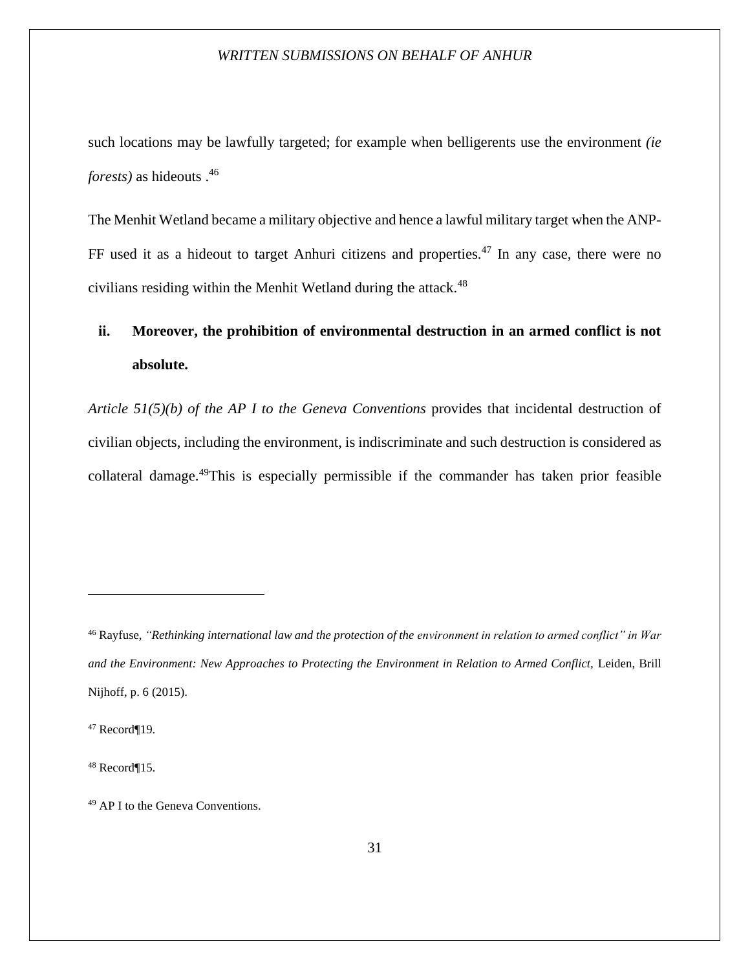such locations may be lawfully targeted; for example when belligerents use the environment *(ie forests)* as hideouts . 46

The Menhit Wetland became a military objective and hence a lawful military target when the ANP-FF used it as a hideout to target Anhuri citizens and properties.<sup>47</sup> In any case, there were no civilians residing within the Menhit Wetland during the attack.<sup>48</sup>

# <span id="page-30-0"></span>**ii. Moreover, the prohibition of environmental destruction in an armed conflict is not absolute.**

*Article 51(5)(b) of the AP I to the Geneva Conventions* provides that incidental destruction of civilian objects, including the environment, is indiscriminate and such destruction is considered as collateral damage. <sup>49</sup>This is especially permissible if the commander has taken prior feasible

 $47$  Record¶19.

<sup>48</sup> Record¶15.

<sup>49</sup> AP I to the Geneva Conventions.

<sup>46</sup> Rayfuse, *"Rethinking international law and the protection of the environment in relation to armed conflict" in War and the Environment: New Approaches to Protecting the Environment in Relation to Armed Conflict,* Leiden, Brill Nijhoff, p. 6 (2015).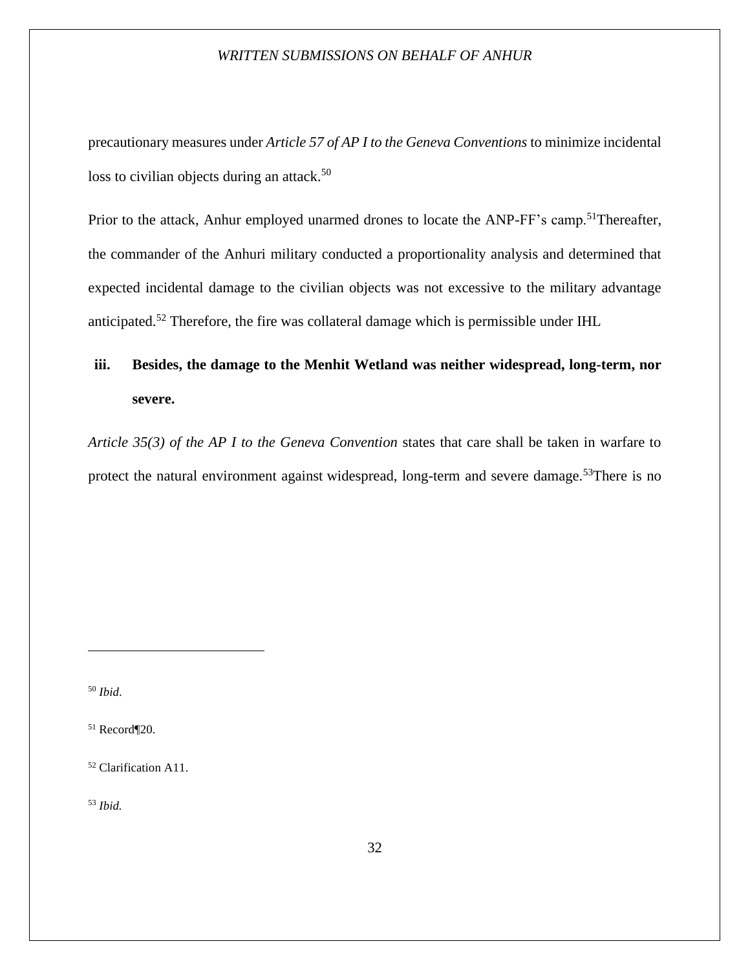precautionary measures under *Article 57 of AP I to the Geneva Conventions* to minimize incidental loss to civilian objects during an attack.<sup>50</sup>

Prior to the attack, Anhur employed unarmed drones to locate the ANP-FF's camp.<sup>51</sup>Thereafter, the commander of the Anhuri military conducted a proportionality analysis and determined that expected incidental damage to the civilian objects was not excessive to the military advantage anticipated.<sup>52</sup> Therefore, the fire was collateral damage which is permissible under IHL

# <span id="page-31-0"></span>**iii. Besides, the damage to the Menhit Wetland was neither widespread, long-term, nor severe.**

*Article 35(3) of the AP I to the Geneva Convention* states that care shall be taken in warfare to protect the natural environment against widespread, long-term and severe damage.<sup>53</sup>There is no

<sup>50</sup> *Ibid*.

<sup>51</sup> Record¶20.

<sup>52</sup> Clarification A11.

<sup>53</sup> *Ibid.*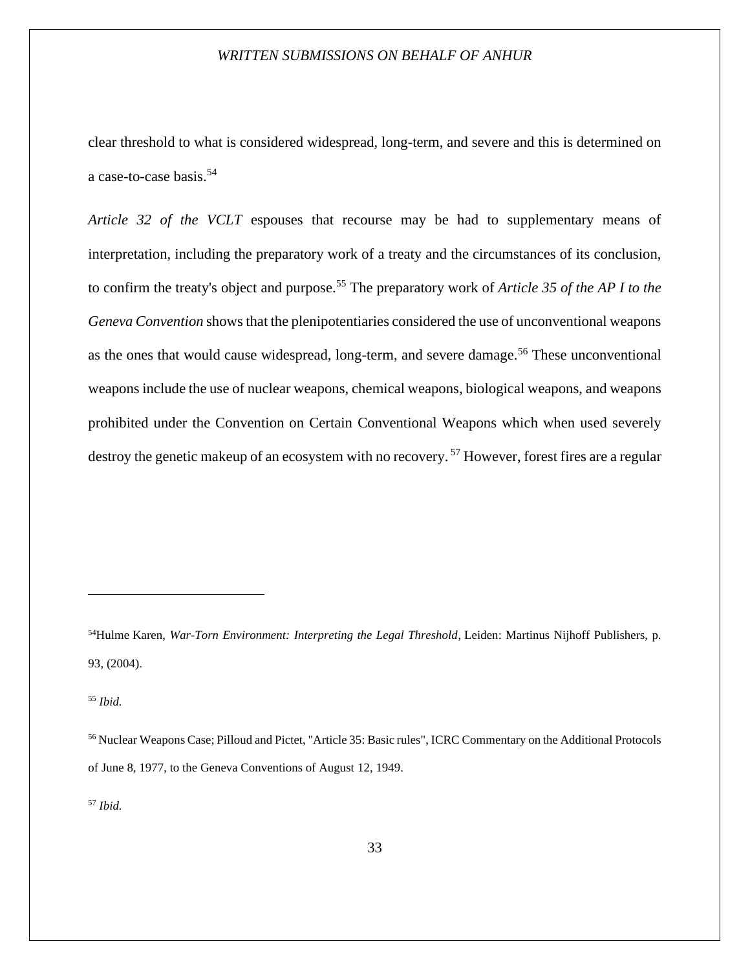clear threshold to what is considered widespread, long-term, and severe and this is determined on a case-to-case basis.<sup>54</sup>

*Article 32 of the VCLT* espouses that recourse may be had to supplementary means of interpretation, including the preparatory work of a treaty and the circumstances of its conclusion, to confirm the treaty's object and purpose. <sup>55</sup> The preparatory work of *Article 35 of the AP I to the Geneva Convention* shows that the plenipotentiaries considered the use of unconventional weapons as the ones that would cause widespread, long-term, and severe damage.<sup>56</sup> These unconventional weapons include the use of nuclear weapons, chemical weapons, biological weapons, and weapons prohibited under the Convention on Certain Conventional Weapons which when used severely destroy the genetic makeup of an ecosystem with no recovery.<sup>57</sup> However, forest fires are a regular

<sup>55</sup> *Ibid.*

<sup>57</sup> *Ibid.*

<sup>54</sup>Hulme Karen, *War-Torn Environment: Interpreting the Legal Threshold*, Leiden: Martinus Nijhoff Publishers, p. 93, (2004).

<sup>56</sup> Nuclear Weapons Case; Pilloud and Pictet, "Article 35: Basic rules", ICRC Commentary on the Additional Protocols of June 8, 1977, to the Geneva Conventions of August 12, 1949.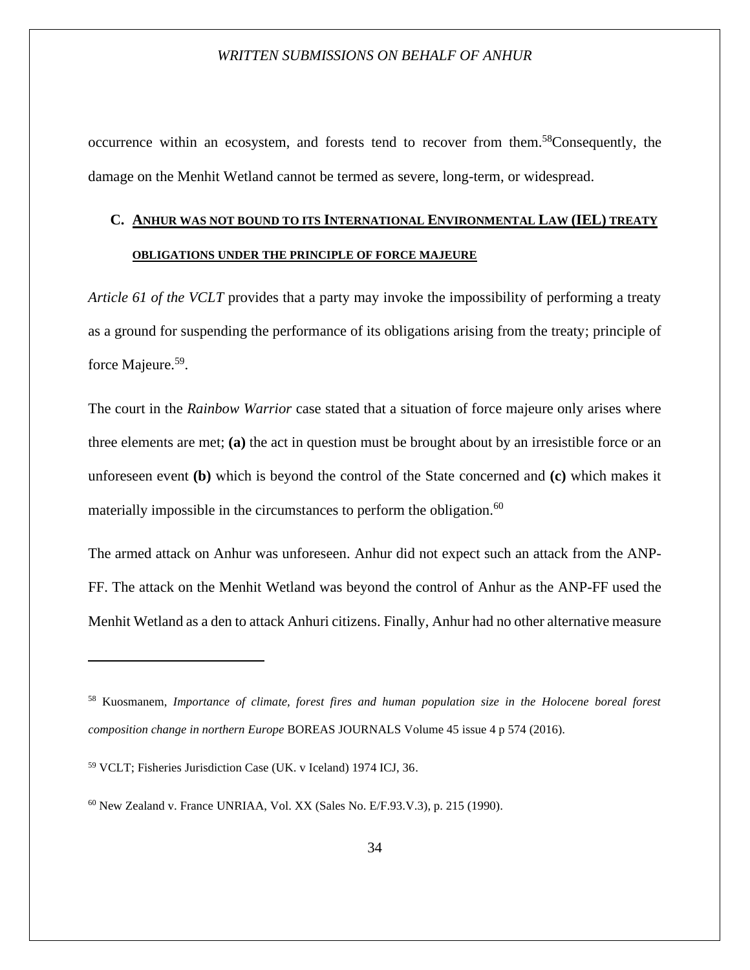occurrence within an ecosystem, and forests tend to recover from them.<sup>58</sup>Consequently, the damage on the Menhit Wetland cannot be termed as severe, long-term, or widespread.

# <span id="page-33-0"></span>**C. ANHUR WAS NOT BOUND TO ITS INTERNATIONAL ENVIRONMENTAL LAW (IEL) TREATY OBLIGATIONS UNDER THE PRINCIPLE OF FORCE MAJEURE**

*Article 61 of the VCLT* provides that a party may invoke the impossibility of performing a treaty as a ground for suspending the performance of its obligations arising from the treaty; principle of force Majeure.<sup>59</sup>.

The court in the *Rainbow Warrior* case stated that a situation of force majeure only arises where three elements are met; **(a)** the act in question must be brought about by an irresistible force or an unforeseen event **(b)** which is beyond the control of the State concerned and **(c)** which makes it materially impossible in the circumstances to perform the obligation.<sup>60</sup>

The armed attack on Anhur was unforeseen. Anhur did not expect such an attack from the ANP-FF. The attack on the Menhit Wetland was beyond the control of Anhur as the ANP-FF used the Menhit Wetland as a den to attack Anhuri citizens. Finally, Anhur had no other alternative measure

<sup>58</sup> Kuosmanem, *Importance of climate, forest fires and human population size in the Holocene boreal forest composition change in northern Europe* BOREAS JOURNALS Volume 45 issue 4 p 574 (2016).

<sup>59</sup> VCLT; Fisheries Jurisdiction Case (UK. v Iceland) 1974 ICJ, 36.

<sup>60</sup> New Zealand v. France UNRIAA, Vol. XX (Sales No. E/F.93.V.3), p. 215 (1990).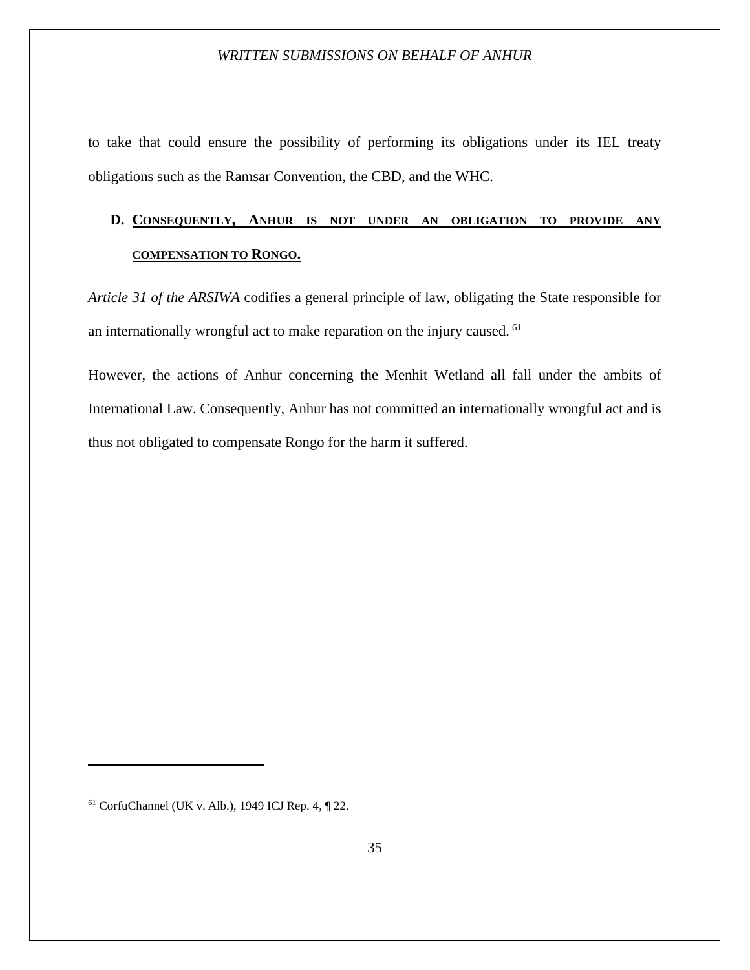to take that could ensure the possibility of performing its obligations under its IEL treaty obligations such as the Ramsar Convention, the CBD, and the WHC.

# <span id="page-34-0"></span>**D. CONSEQUENTLY, ANHUR IS NOT UNDER AN OBLIGATION TO PROVIDE ANY COMPENSATION TO RONGO.**

*Article 31 of the ARSIWA* codifies a general principle of law, obligating the State responsible for an internationally wrongful act to make reparation on the injury caused. <sup>61</sup>

However, the actions of Anhur concerning the Menhit Wetland all fall under the ambits of International Law. Consequently, Anhur has not committed an internationally wrongful act and is thus not obligated to compensate Rongo for the harm it suffered.

<sup>61</sup> CorfuChannel (UK v. Alb.), 1949 ICJ Rep. 4, ¶ 22.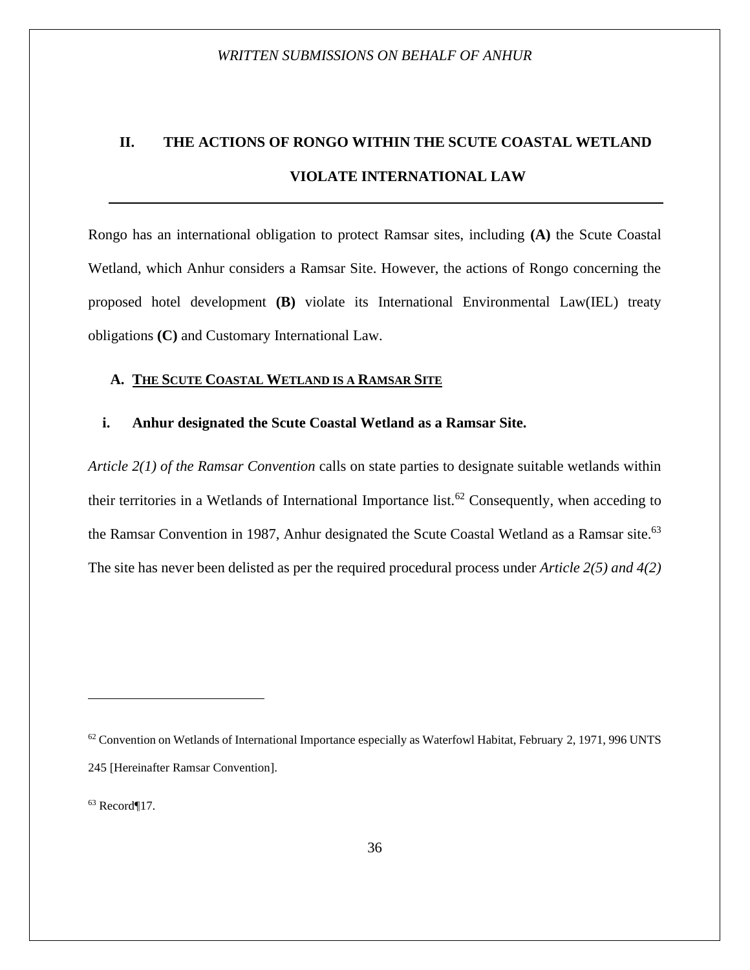# <span id="page-35-0"></span>**II. THE ACTIONS OF RONGO WITHIN THE SCUTE COASTAL WETLAND VIOLATE INTERNATIONAL LAW**

Rongo has an international obligation to protect Ramsar sites, including **(A)** the Scute Coastal Wetland, which Anhur considers a Ramsar Site. However, the actions of Rongo concerning the proposed hotel development **(B)** violate its International Environmental Law(IEL) treaty obligations **(C)** and Customary International Law.

### <span id="page-35-1"></span>**A. THE SCUTE COASTAL WETLAND IS A RAMSAR SITE**

### <span id="page-35-2"></span>**i. Anhur designated the Scute Coastal Wetland as a Ramsar Site.**

*Article 2(1) of the Ramsar Convention* calls on state parties to designate suitable wetlands within their territories in a Wetlands of International Importance list.<sup>62</sup> Consequently, when acceding to the Ramsar Convention in 1987, Anhur designated the Scute Coastal Wetland as a Ramsar site.<sup>63</sup> The site has never been delisted as per the required procedural process under *Article 2(5) and 4(2)*

<sup>63</sup> Record¶17.

 $62$  Convention on Wetlands of International Importance especially as Waterfowl Habitat, February 2, 1971, 996 UNTS 245 [Hereinafter Ramsar Convention].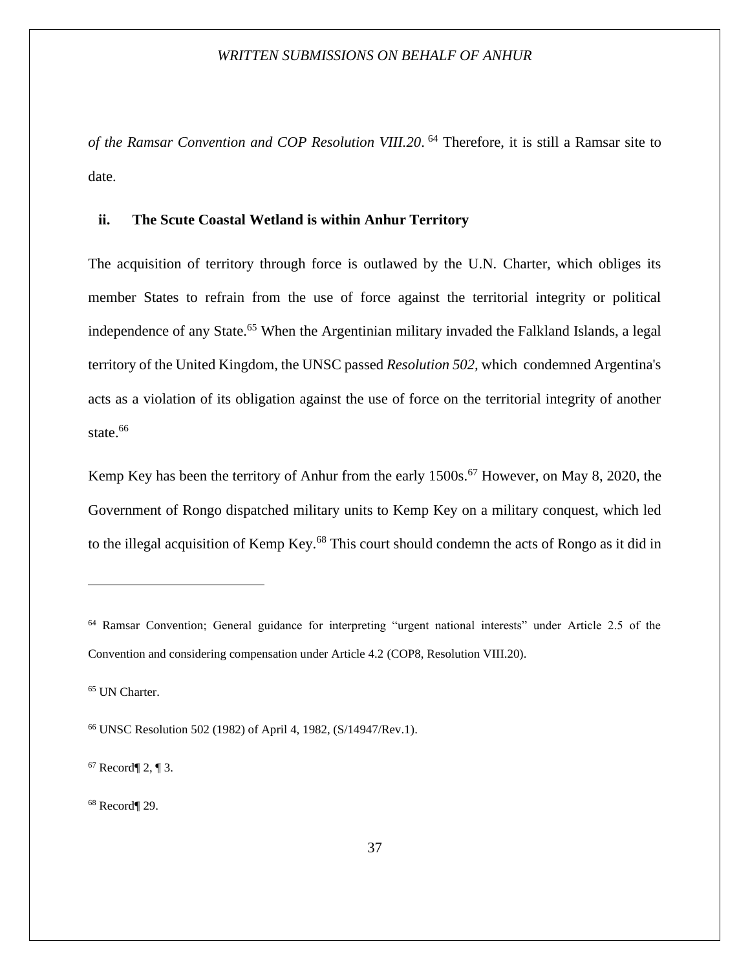*of the Ramsar Convention and COP Resolution VIII.20*. <sup>64</sup> Therefore, it is still a Ramsar site to date.

### <span id="page-36-0"></span>**ii. The Scute Coastal Wetland is within Anhur Territory**

The acquisition of territory through force is outlawed by the U.N. Charter, which obliges its member States to refrain from the use of force against the territorial integrity or political independence of any State.<sup>65</sup> When the Argentinian military invaded the Falkland Islands, a legal territory of the United Kingdom, the UNSC passed *Resolution 502,* which condemned Argentina's acts as a violation of its obligation against the use of force on the territorial integrity of another state. 66

Kemp Key has been the territory of Anhur from the early  $1500s$ .<sup>67</sup> However, on May 8, 2020, the Government of Rongo dispatched military units to Kemp Key on a military conquest, which led to the illegal acquisition of Kemp Key.<sup>68</sup> This court should condemn the acts of Rongo as it did in

<sup>65</sup> UN Charter.

<sup>64</sup> Ramsar Convention; General guidance for interpreting "urgent national interests" under Article 2.5 of the Convention and considering compensation under Article 4.2 (COP8, Resolution VIII.20).

<sup>66</sup> UNSC Resolution 502 (1982) of April 4, 1982, (S/14947/Rev.1).

 $67$  Record¶ 2, ¶ 3.

<sup>68</sup> Record¶ 29.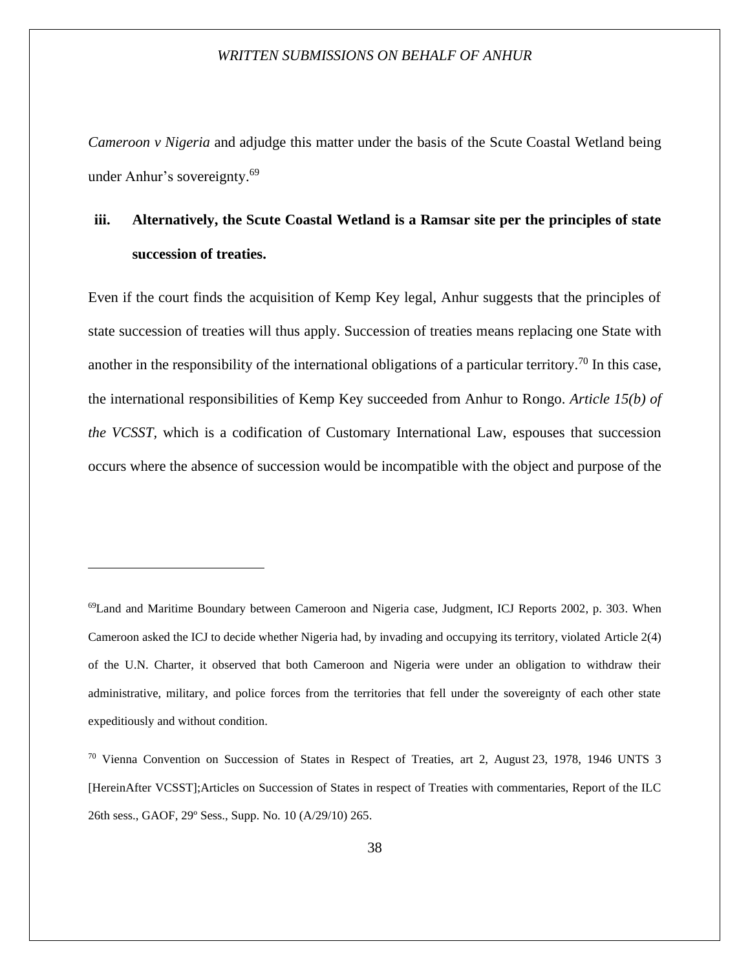*Cameroon v Nigeria* and adjudge this matter under the basis of the Scute Coastal Wetland being under Anhur's sovereignty.<sup>69</sup>

# <span id="page-37-0"></span>**iii. Alternatively, the Scute Coastal Wetland is a Ramsar site per the principles of state succession of treaties.**

Even if the court finds the acquisition of Kemp Key legal, Anhur suggests that the principles of state succession of treaties will thus apply. Succession of treaties means replacing one State with another in the responsibility of the international obligations of a particular territory.<sup>70</sup> In this case, the international responsibilities of Kemp Key succeeded from Anhur to Rongo. *Article 15(b) of the VCSST,* which is a codification of Customary International Law, espouses that succession occurs where the absence of succession would be incompatible with the object and purpose of the

<sup>69</sup>Land and Maritime Boundary between Cameroon and Nigeria case, Judgment, ICJ Reports 2002, p. 303. When Cameroon asked the ICJ to decide whether Nigeria had, by invading and occupying its territory, violated Article 2(4) of the U.N. Charter, it observed that both Cameroon and Nigeria were under an obligation to withdraw their administrative, military, and police forces from the territories that fell under the sovereignty of each other state expeditiously and without condition.

<sup>70</sup> Vienna Convention on Succession of States in Respect of Treaties, art 2, August 23, 1978, 1946 UNTS 3 [HereinAfter VCSST];Articles on Succession of States in respect of Treaties with commentaries, Report of the ILC 26th sess., GAOF, 29º Sess., Supp. No. 10 (A/29/10) 265.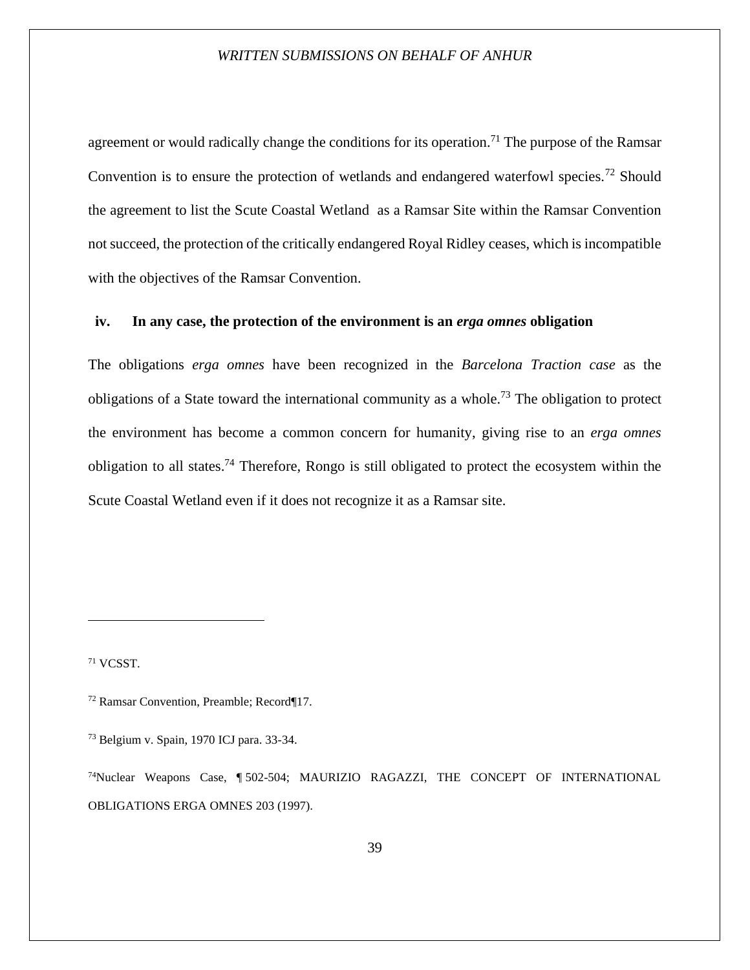agreement or would radically change the conditions for its operation.<sup>71</sup> The purpose of the Ramsar Convention is to ensure the protection of wetlands and endangered waterfowl species.<sup>72</sup> Should the agreement to list the Scute Coastal Wetland as a Ramsar Site within the Ramsar Convention not succeed, the protection of the critically endangered Royal Ridley ceases, which is incompatible with the objectives of the Ramsar Convention.

### <span id="page-38-0"></span>**iv. In any case, the protection of the environment is an** *erga omnes* **obligation**

The obligations *erga omnes* have been recognized in the *Barcelona Traction case* as the obligations of a State toward the international community as a whole.<sup>73</sup> The obligation to protect the environment has become a common concern for humanity, giving rise to an *erga omnes* obligation to all states.<sup>74</sup> Therefore, Rongo is still obligated to protect the ecosystem within the Scute Coastal Wetland even if it does not recognize it as a Ramsar site.

<sup>71</sup> VCSST.

<sup>72</sup> Ramsar Convention, Preamble; Record¶17.

<sup>73</sup> Belgium v. Spain, 1970 ICJ para. 33-34.

<sup>74</sup>Nuclear Weapons Case, ¶ 502-504; MAURIZIO RAGAZZI, THE CONCEPT OF INTERNATIONAL OBLIGATIONS ERGA OMNES 203 (1997).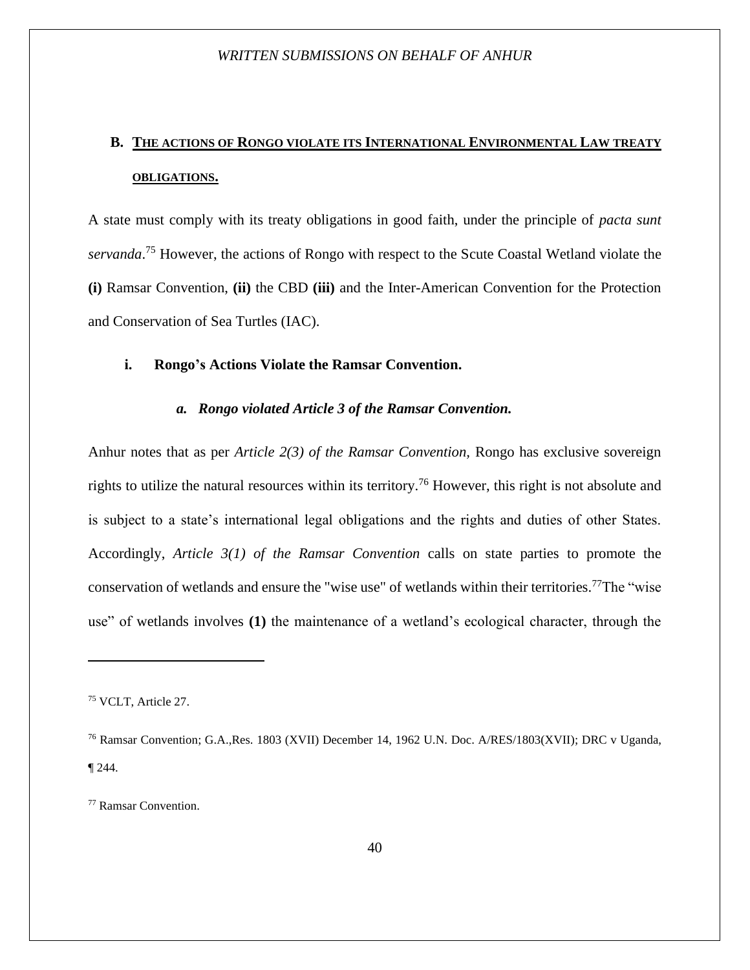# <span id="page-39-0"></span>**B. THE ACTIONS OF RONGO VIOLATE ITS INTERNATIONAL ENVIRONMENTAL LAW TREATY OBLIGATIONS.**

A state must comply with its treaty obligations in good faith, under the principle of *pacta sunt servanda*. <sup>75</sup> However, the actions of Rongo with respect to the Scute Coastal Wetland violate the **(i)** Ramsar Convention, **(ii)** the CBD **(iii)** and the Inter-American Convention for the Protection and Conservation of Sea Turtles (IAC).

### <span id="page-39-1"></span>**i. Rongo's Actions Violate the Ramsar Convention.**

### *a. Rongo violated Article 3 of the Ramsar Convention.*

Anhur notes that as per *Article 2(3) of the Ramsar Convention,* Rongo has exclusive sovereign rights to utilize the natural resources within its territory.<sup>76</sup> However, this right is not absolute and is subject to a state's international legal obligations and the rights and duties of other States. Accordingly, *Article 3(1) of the Ramsar Convention* calls on state parties to promote the conservation of wetlands and ensure the "wise use" of wetlands within their territories.<sup>77</sup>The "wise" use" of wetlands involves **(1)** the maintenance of a wetland's ecological character, through the

<sup>75</sup> VCLT, Article 27.

<sup>77</sup> Ramsar Convention.

<sup>76</sup> Ramsar Convention; G.A.,Res. 1803 (XVII) December 14, 1962 U.N. Doc. A/RES/1803(XVII); DRC v Uganda, ¶ 244.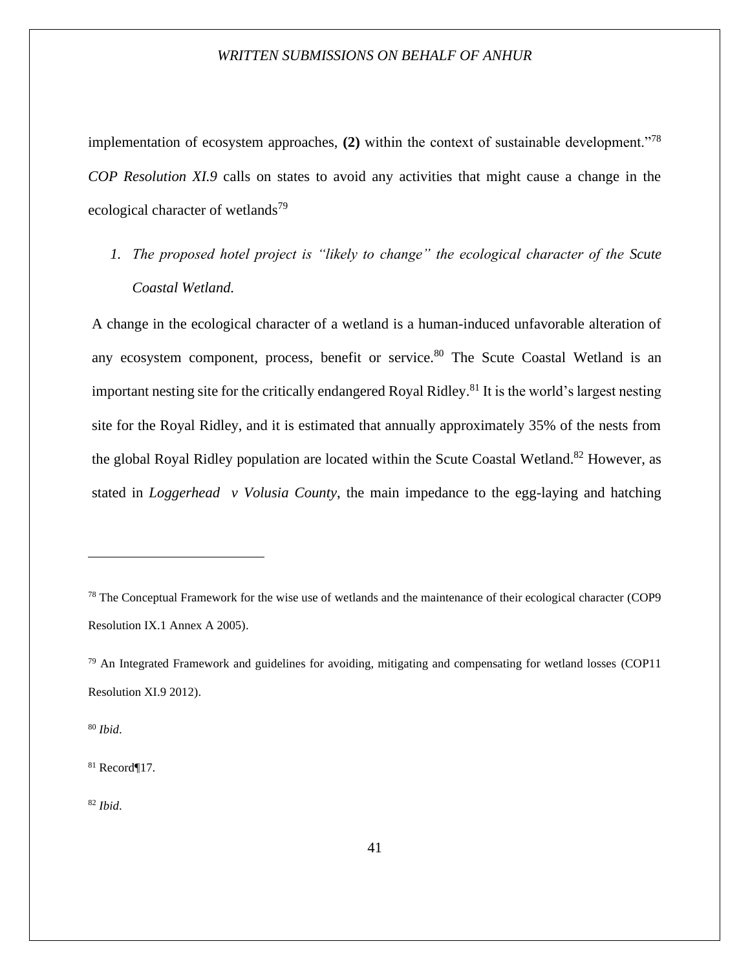implementation of ecosystem approaches, **(2)** within the context of sustainable development."<sup>78</sup> *COP Resolution XI.9* calls on states to avoid any activities that might cause a change in the ecological character of wetlands<sup>79</sup>

*1. The proposed hotel project is "likely to change" the ecological character of the Scute Coastal Wetland.*

A change in the ecological character of a wetland is a human-induced unfavorable alteration of any ecosystem component, process, benefit or service.<sup>80</sup> The Scute Coastal Wetland is an important nesting site for the critically endangered Royal Ridley.<sup>81</sup> It is the world's largest nesting site for the Royal Ridley, and it is estimated that annually approximately 35% of the nests from the global Royal Ridley population are located within the Scute Coastal Wetland.<sup>82</sup> However, as stated in *Loggerhead v Volusia County*, the main impedance to the egg-laying and hatching

<sup>80</sup> *Ibid*.

 $81$  Record¶17.

<sup>82</sup> *Ibid*.

<sup>&</sup>lt;sup>78</sup> The Conceptual Framework for the wise use of wetlands and the maintenance of their ecological character (COP9 Resolution IX.1 Annex A 2005).

 $79$  An Integrated Framework and guidelines for avoiding, mitigating and compensating for wetland losses (COP11) Resolution XI.9 2012).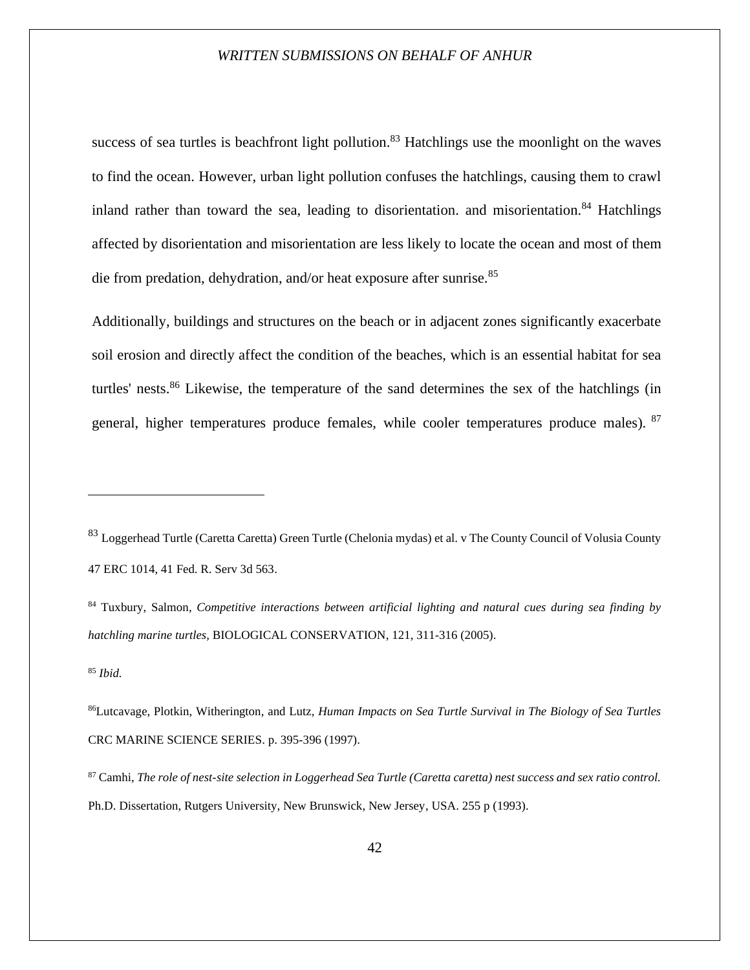success of sea turtles is beachfront light pollution.<sup>83</sup> Hatchlings use the moonlight on the waves to find the ocean. However, urban light pollution confuses the hatchlings, causing them to crawl inland rather than toward the sea, leading to disorientation. and misorientation.<sup>84</sup> Hatchlings affected by disorientation and misorientation are less likely to locate the ocean and most of them die from predation, dehydration, and/or heat exposure after sunrise.<sup>85</sup>

Additionally, buildings and structures on the beach or in adjacent zones significantly exacerbate soil erosion and directly affect the condition of the beaches, which is an essential habitat for sea turtles' nests.<sup>86</sup> Likewise, the temperature of the sand determines the sex of the hatchlings (in general, higher temperatures produce females, while cooler temperatures produce males). <sup>87</sup>

<sup>83</sup> Loggerhead Turtle (Caretta Caretta) Green Turtle (Chelonia mydas) et al. v The County Council of Volusia County 47 ERC 1014, 41 Fed. R. Serv 3d 563.

<sup>84</sup> Tuxbury, Salmon, *Competitive interactions between artificial lighting and natural cues during sea finding by hatchling marine turtles,* BIOLOGICAL CONSERVATION, 121, 311-316 (2005).

<sup>85</sup> *Ibid.*

<sup>86</sup>Lutcavage, Plotkin, Witherington, and Lutz, *Human Impacts on Sea Turtle Survival in The Biology of Sea Turtles* CRC MARINE SCIENCE SERIES. p. 395-396 (1997).

<sup>87</sup> Camhi, *The role of nest-site selection in Loggerhead Sea Turtle (Caretta caretta) nest success and sex ratio control.* Ph.D. Dissertation, Rutgers University, New Brunswick, New Jersey, USA. 255 p (1993).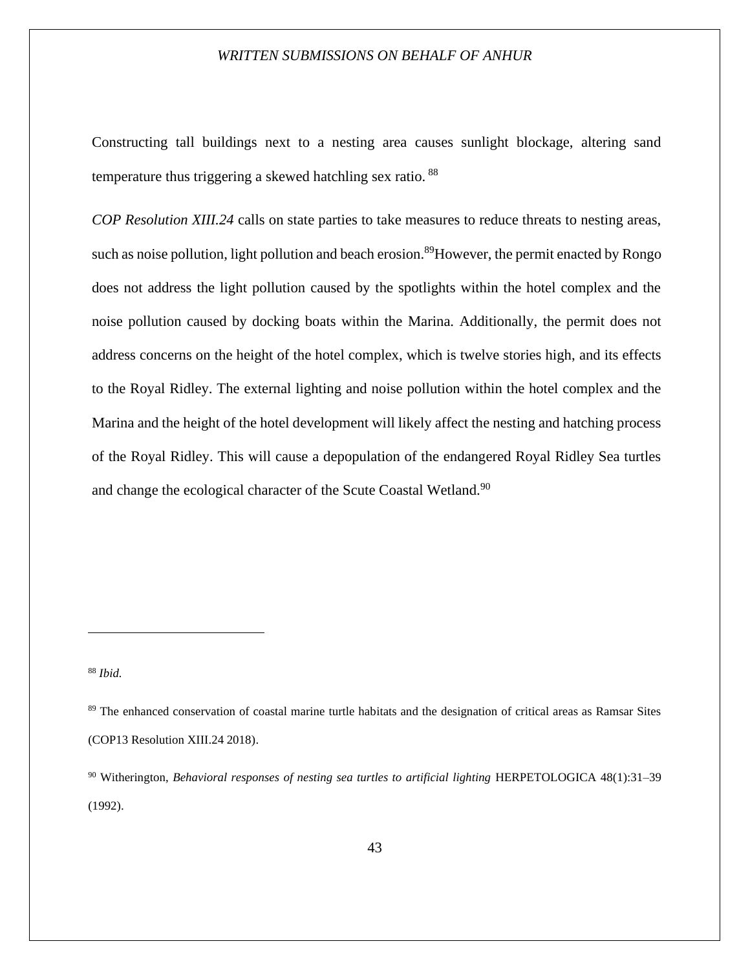Constructing tall buildings next to a nesting area causes sunlight blockage, altering sand temperature thus triggering a skewed hatchling sex ratio.<sup>88</sup>

*COP Resolution XIII.24* calls on state parties to take measures to reduce threats to nesting areas, such as noise pollution, light pollution and beach erosion.<sup>89</sup>However, the permit enacted by Rongo does not address the light pollution caused by the spotlights within the hotel complex and the noise pollution caused by docking boats within the Marina. Additionally, the permit does not address concerns on the height of the hotel complex, which is twelve stories high, and its effects to the Royal Ridley. The external lighting and noise pollution within the hotel complex and the Marina and the height of the hotel development will likely affect the nesting and hatching process of the Royal Ridley. This will cause a depopulation of the endangered Royal Ridley Sea turtles and change the ecological character of the Scute Coastal Wetland.<sup>90</sup>

<sup>88</sup> *Ibid.*

<sup>89</sup> The enhanced conservation of coastal marine turtle habitats and the designation of critical areas as Ramsar Sites (COP13 Resolution XIII.24 2018).

<sup>90</sup> Witherington, *Behavioral responses of nesting sea turtles to artificial lighting* HERPETOLOGICA 48(1):31–39 (1992).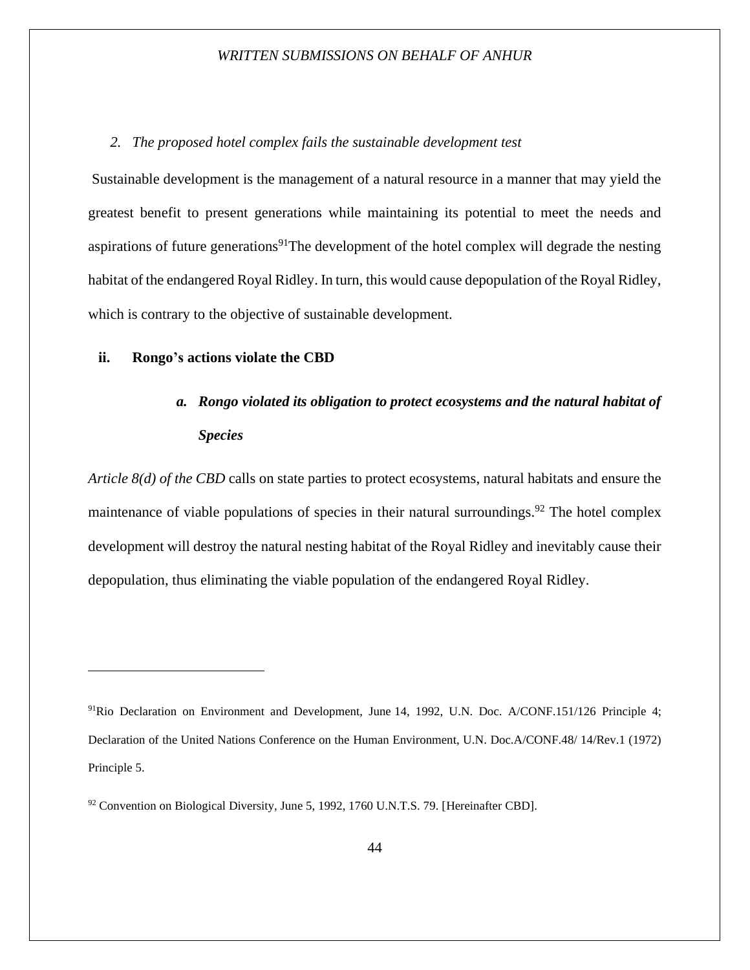### *2. The proposed hotel complex fails the sustainable development test*

Sustainable development is the management of a natural resource in a manner that may yield the greatest benefit to present generations while maintaining its potential to meet the needs and aspirations of future generations<sup>91</sup>The development of the hotel complex will degrade the nesting habitat of the endangered Royal Ridley. In turn, this would cause depopulation of the Royal Ridley, which is contrary to the objective of sustainable development.

### <span id="page-43-0"></span>**ii. Rongo's actions violate the CBD**

# *a. Rongo violated its obligation to protect ecosystems and the natural habitat of Species*

*Article 8(d) of the CBD* calls on state parties to protect ecosystems, natural habitats and ensure the maintenance of viable populations of species in their natural surroundings.<sup>92</sup> The hotel complex development will destroy the natural nesting habitat of the Royal Ridley and inevitably cause their depopulation, thus eliminating the viable population of the endangered Royal Ridley.

<sup>91</sup>Rio Declaration on Environment and Development, June 14, 1992, U.N. Doc. A/CONF.151/126 Principle 4; Declaration of the United Nations Conference on the Human Environment, U.N. Doc.A/CONF.48/ 14/Rev.1 (1972) Principle 5.

<sup>&</sup>lt;sup>92</sup> Convention on Biological Diversity, June 5, 1992, 1760 U.N.T.S. 79. [Hereinafter CBD].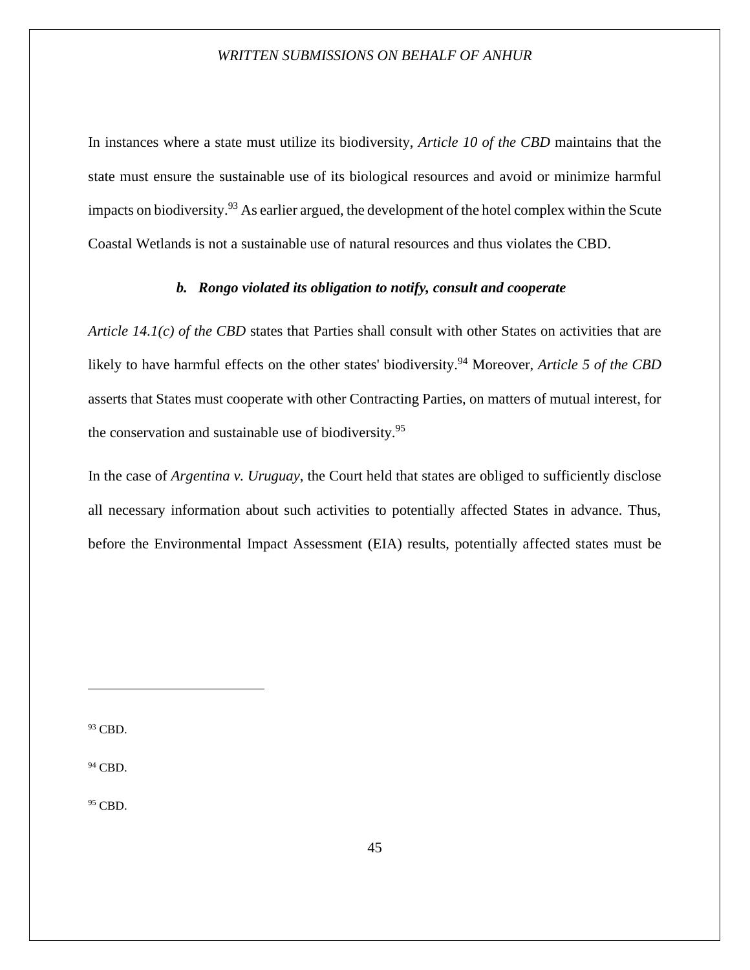In instances where a state must utilize its biodiversity, *Article 10 of the CBD* maintains that the state must ensure the sustainable use of its biological resources and avoid or minimize harmful impacts on biodiversity.<sup>93</sup> As earlier argued, the development of the hotel complex within the Scute Coastal Wetlands is not a sustainable use of natural resources and thus violates the CBD.

### *b. Rongo violated its obligation to notify, consult and cooperate*

*Article 14.1(c) of the CBD* states that Parties shall consult with other States on activities that are likely to have harmful effects on the other states' biodiversity.<sup>94</sup> Moreover, *Article 5 of the CBD* asserts that States must cooperate with other Contracting Parties, on matters of mutual interest, for the conservation and sustainable use of biodiversity.<sup>95</sup>

In the case of *Argentina v. Uruguay*, the Court held that states are obliged to sufficiently disclose all necessary information about such activities to potentially affected States in advance. Thus, before the Environmental Impact Assessment (EIA) results, potentially affected states must be

 $93$  CBD.

 $94$  CBD.

<sup>95</sup> CBD.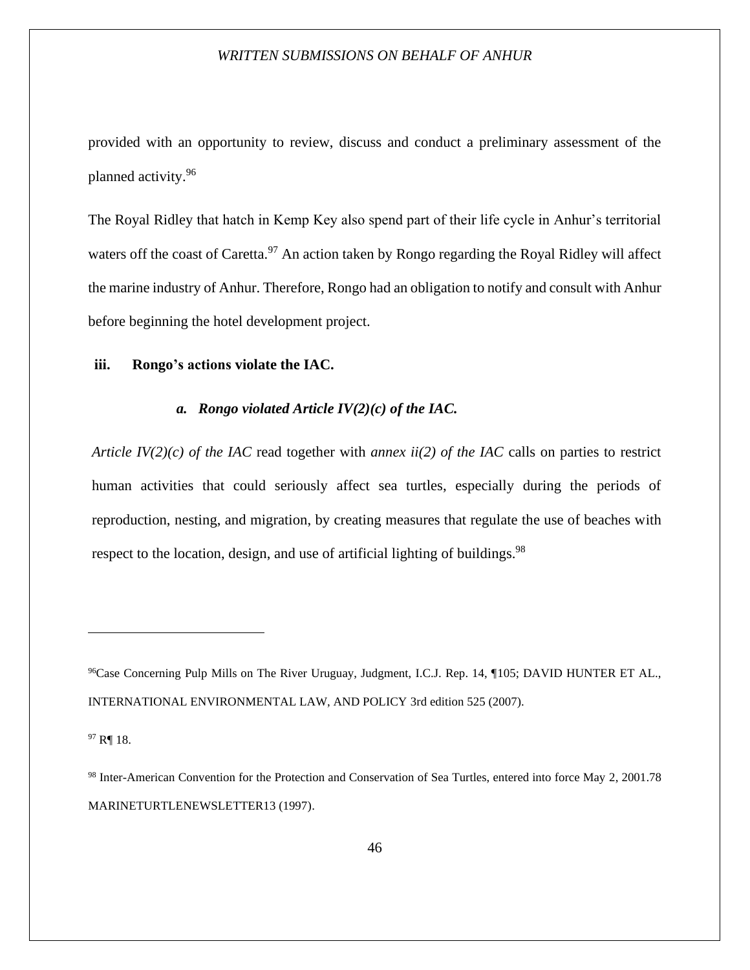provided with an opportunity to review, discuss and conduct a preliminary assessment of the planned activity.<sup>96</sup>

The Royal Ridley that hatch in Kemp Key also spend part of their life cycle in Anhur's territorial waters off the coast of Caretta.<sup>97</sup> An action taken by Rongo regarding the Royal Ridley will affect the marine industry of Anhur. Therefore, Rongo had an obligation to notify and consult with Anhur before beginning the hotel development project.

### <span id="page-45-0"></span>**iii. Rongo's actions violate the IAC.**

### *a. Rongo violated Article IV(2)(c) of the IAC.*

*Article IV(2)(c) of the IAC* read together with *annex ii(2) of the IAC* calls on parties to restrict human activities that could seriously affect sea turtles, especially during the periods of reproduction, nesting, and migration, by creating measures that regulate the use of beaches with respect to the location, design, and use of artificial lighting of buildings.<sup>98</sup>

<sup>97</sup> R¶ 18.

<sup>96</sup>Case Concerning Pulp Mills on The River Uruguay, Judgment, I.C.J. Rep. 14, ¶105; DAVID HUNTER ET AL., INTERNATIONAL ENVIRONMENTAL LAW, AND POLICY 3rd edition 525 (2007).

<sup>98</sup> Inter-American Convention for the Protection and Conservation of Sea Turtles, entered into force May 2, 2001.78 MARINETURTLENEWSLETTER13 (1997).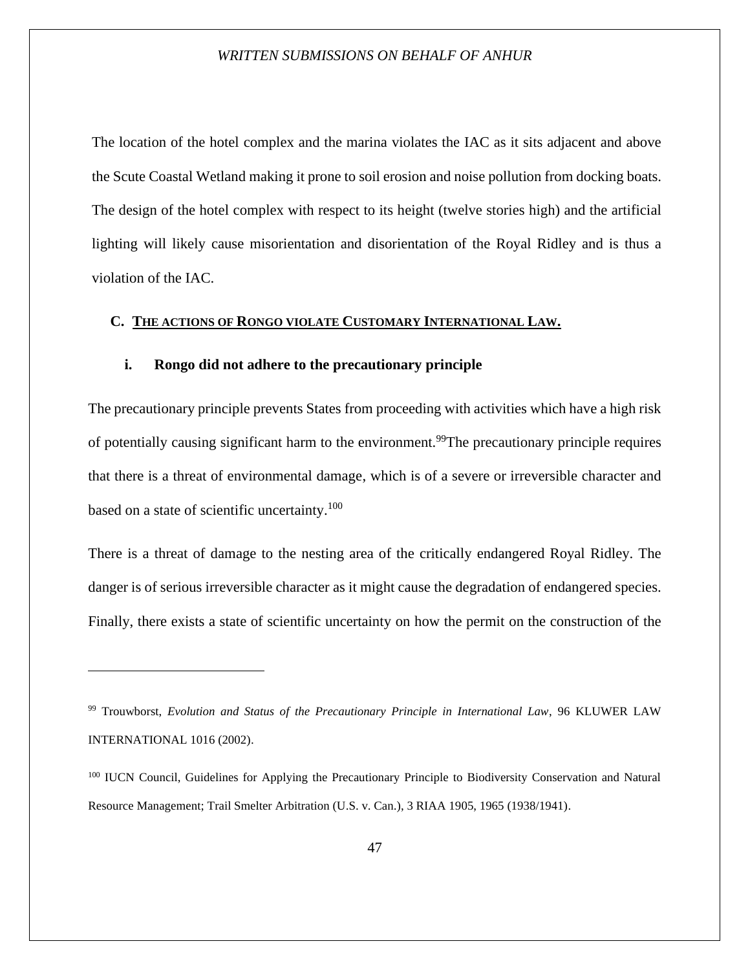The location of the hotel complex and the marina violates the IAC as it sits adjacent and above the Scute Coastal Wetland making it prone to soil erosion and noise pollution from docking boats. The design of the hotel complex with respect to its height (twelve stories high) and the artificial lighting will likely cause misorientation and disorientation of the Royal Ridley and is thus a violation of the IAC.

### <span id="page-46-0"></span>**C. THE ACTIONS OF RONGO VIOLATE CUSTOMARY INTERNATIONAL LAW.**

### <span id="page-46-1"></span>**i. Rongo did not adhere to the precautionary principle**

The precautionary principle prevents States from proceeding with activities which have a high risk of potentially causing significant harm to the environment.<sup>99</sup>The precautionary principle requires that there is a threat of environmental damage, which is of a severe or irreversible character and based on a state of scientific uncertainty.<sup>100</sup>

There is a threat of damage to the nesting area of the critically endangered Royal Ridley. The danger is of serious irreversible character as it might cause the degradation of endangered species. Finally, there exists a state of scientific uncertainty on how the permit on the construction of the

<sup>99</sup> Trouwborst, *Evolution and Status of the Precautionary Principle in International Law*, 96 KLUWER LAW INTERNATIONAL 1016 (2002).

<sup>100</sup> IUCN Council, Guidelines for Applying the Precautionary Principle to Biodiversity Conservation and Natural Resource Management; Trail Smelter Arbitration (U.S. v. Can.), 3 RIAA 1905, 1965 (1938/1941).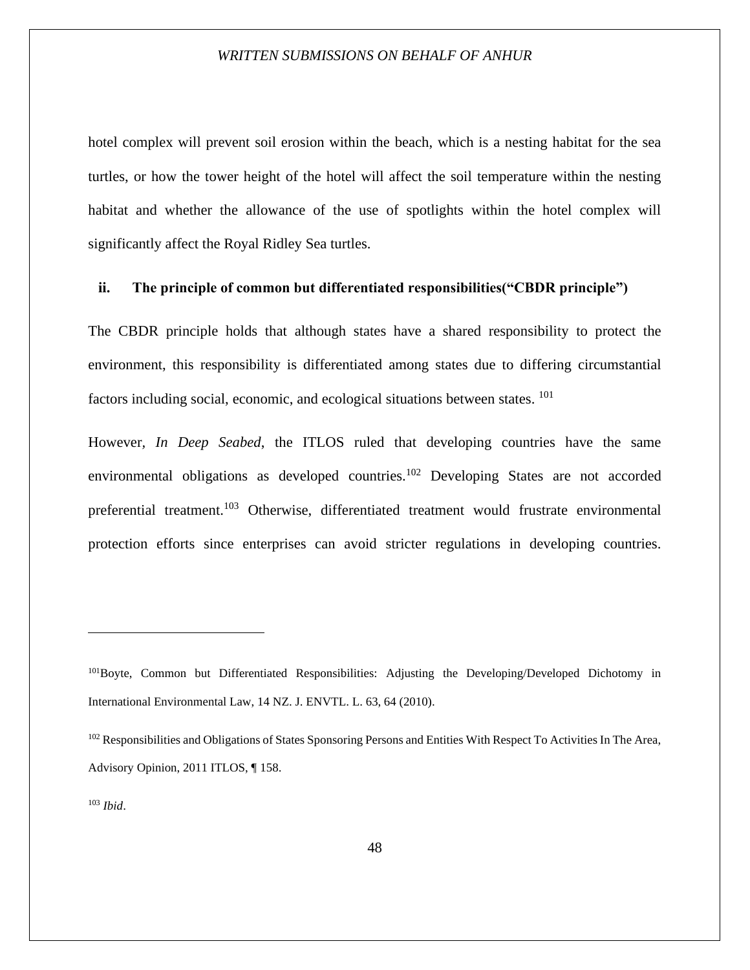hotel complex will prevent soil erosion within the beach, which is a nesting habitat for the sea turtles, or how the tower height of the hotel will affect the soil temperature within the nesting habitat and whether the allowance of the use of spotlights within the hotel complex will significantly affect the Royal Ridley Sea turtles.

## <span id="page-47-0"></span>**ii. The principle of common but differentiated responsibilities("CBDR principle")**

The CBDR principle holds that although states have a shared responsibility to protect the environment, this responsibility is differentiated among states due to differing circumstantial factors including social, economic, and ecological situations between states. <sup>101</sup>

However*, In Deep Seabed*, the ITLOS ruled that developing countries have the same environmental obligations as developed countries.<sup>102</sup> Developing States are not accorded preferential treatment.<sup>103</sup> Otherwise, differentiated treatment would frustrate environmental protection efforts since enterprises can avoid stricter regulations in developing countries.

<sup>&</sup>lt;sup>101</sup>Boyte, Common but Differentiated Responsibilities: Adjusting the Developing/Developed Dichotomy in International Environmental Law, 14 NZ. J. ENVTL. L. 63, 64 (2010).

<sup>&</sup>lt;sup>102</sup> Responsibilities and Obligations of States Sponsoring Persons and Entities With Respect To Activities In The Area, Advisory Opinion, 2011 ITLOS, ¶ 158.

<sup>103</sup> *Ibid*.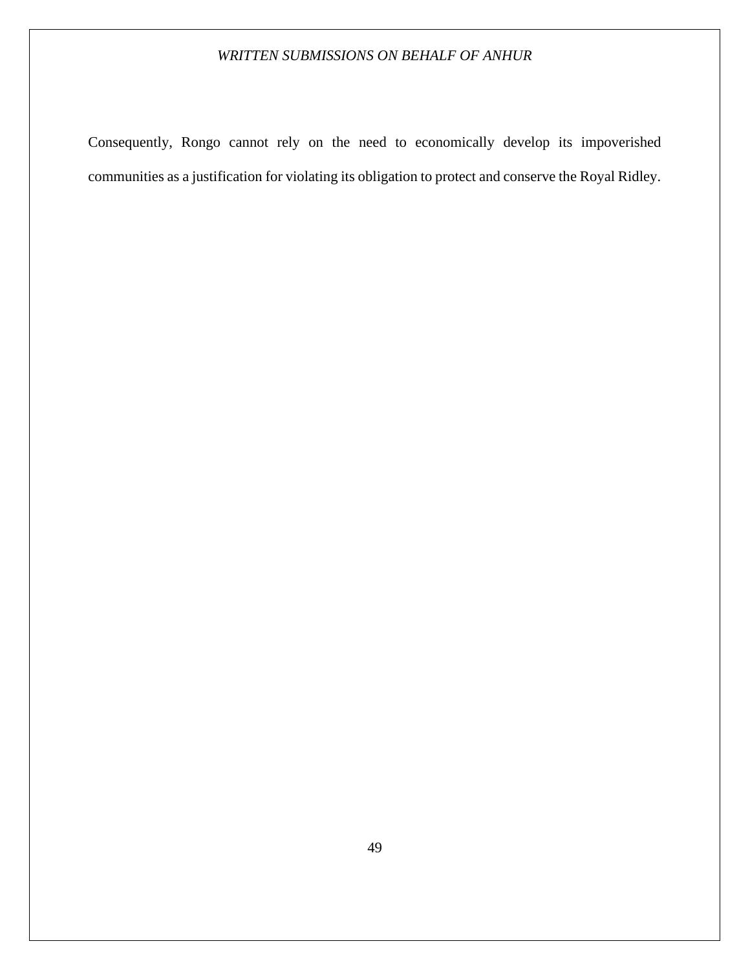Consequently, Rongo cannot rely on the need to economically develop its impoverished communities as a justification for violating its obligation to protect and conserve the Royal Ridley.